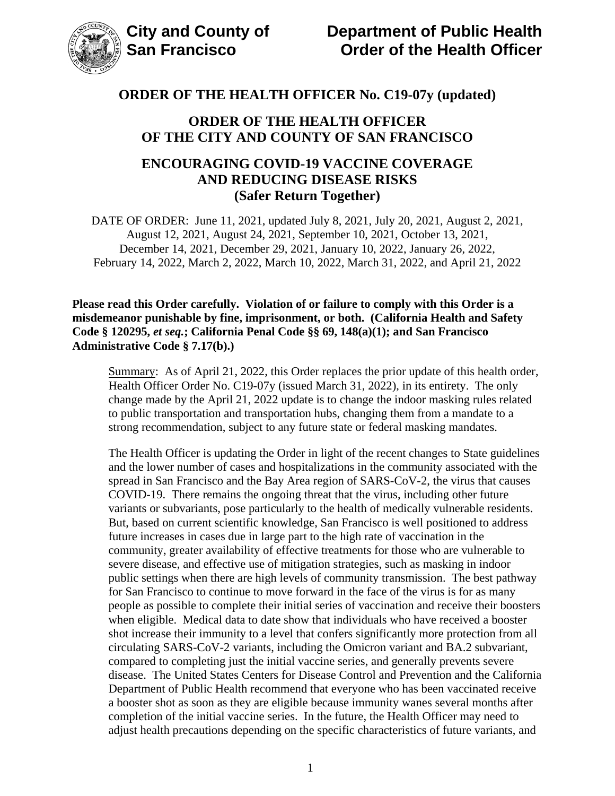

### **ORDER OF THE HEALTH OFFICER OF THE CITY AND COUNTY OF SAN FRANCISCO**

## **ENCOURAGING COVID-19 VACCINE COVERAGE AND REDUCING DISEASE RISKS (Safer Return Together)**

DATE OF ORDER: June 11, 2021, updated July 8, 2021, July 20, 2021, August 2, 2021, August 12, 2021, August 24, 2021, September 10, 2021, October 13, 2021, December 14, 2021, December 29, 2021, January 10, 2022, January 26, 2022, February 14, 2022, March 2, 2022, March 10, 2022, March 31, 2022, and April 21, 2022

**Please read this Order carefully. Violation of or failure to comply with this Order is a misdemeanor punishable by fine, imprisonment, or both. (California Health and Safety Code § 120295,** *et seq.***; California Penal Code §§ 69, 148(a)(1); and San Francisco Administrative Code § 7.17(b).)**

Summary: As of April 21, 2022, this Order replaces the prior update of this health order, Health Officer Order No. C19-07y (issued March 31, 2022), in its entirety. The only change made by the April 21, 2022 update is to change the indoor masking rules related to public transportation and transportation hubs, changing them from a mandate to a strong recommendation, subject to any future state or federal masking mandates.

The Health Officer is updating the Order in light of the recent changes to State guidelines and the lower number of cases and hospitalizations in the community associated with the spread in San Francisco and the Bay Area region of SARS-CoV-2, the virus that causes COVID-19. There remains the ongoing threat that the virus, including other future variants or subvariants, pose particularly to the health of medically vulnerable residents. But, based on current scientific knowledge, San Francisco is well positioned to address future increases in cases due in large part to the high rate of vaccination in the community, greater availability of effective treatments for those who are vulnerable to severe disease, and effective use of mitigation strategies, such as masking in indoor public settings when there are high levels of community transmission. The best pathway for San Francisco to continue to move forward in the face of the virus is for as many people as possible to complete their initial series of vaccination and receive their boosters when eligible. Medical data to date show that individuals who have received a booster shot increase their immunity to a level that confers significantly more protection from all circulating SARS-CoV-2 variants, including the Omicron variant and BA.2 subvariant, compared to completing just the initial vaccine series, and generally prevents severe disease. The United States Centers for Disease Control and Prevention and the California Department of Public Health recommend that everyone who has been vaccinated receive a booster shot as soon as they are eligible because immunity wanes several months after completion of the initial vaccine series. In the future, the Health Officer may need to adjust health precautions depending on the specific characteristics of future variants, and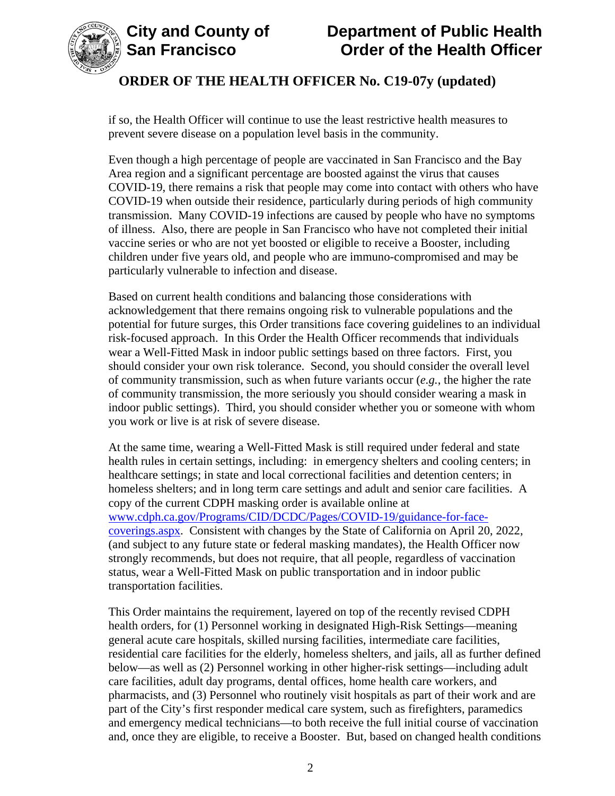

if so, the Health Officer will continue to use the least restrictive health measures to prevent severe disease on a population level basis in the community.

Even though a high percentage of people are vaccinated in San Francisco and the Bay Area region and a significant percentage are boosted against the virus that causes COVID-19, there remains a risk that people may come into contact with others who have COVID-19 when outside their residence, particularly during periods of high community transmission. Many COVID-19 infections are caused by people who have no symptoms of illness. Also, there are people in San Francisco who have not completed their initial vaccine series or who are not yet boosted or eligible to receive a Booster, including children under five years old, and people who are immuno-compromised and may be particularly vulnerable to infection and disease.

Based on current health conditions and balancing those considerations with acknowledgement that there remains ongoing risk to vulnerable populations and the potential for future surges, this Order transitions face covering guidelines to an individual risk-focused approach. In this Order the Health Officer recommends that individuals wear a Well-Fitted Mask in indoor public settings based on three factors. First, you should consider your own risk tolerance. Second, you should consider the overall level of community transmission, such as when future variants occur (*e.g.*, the higher the rate of community transmission, the more seriously you should consider wearing a mask in indoor public settings). Third, you should consider whether you or someone with whom you work or live is at risk of severe disease.

At the same time, wearing a Well-Fitted Mask is still required under federal and state health rules in certain settings, including: in emergency shelters and cooling centers; in healthcare settings; in state and local correctional facilities and detention centers; in homeless shelters; and in long term care settings and adult and senior care facilities. A copy of the current CDPH masking order is available online at [www.cdph.ca.gov/Programs/CID/DCDC/Pages/COVID-19/guidance-for-face](https://www.cdph.ca.gov/Programs/CID/DCDC/Pages/COVID-19/guidance-for-face-coverings.aspx)[coverings.aspx.](https://www.cdph.ca.gov/Programs/CID/DCDC/Pages/COVID-19/guidance-for-face-coverings.aspx) Consistent with changes by the State of California on April 20, 2022, (and subject to any future state or federal masking mandates), the Health Officer now strongly recommends, but does not require, that all people, regardless of vaccination status, wear a Well-Fitted Mask on public transportation and in indoor public transportation facilities.

This Order maintains the requirement, layered on top of the recently revised CDPH health orders, for (1) Personnel working in designated High-Risk Settings—meaning general acute care hospitals, skilled nursing facilities, intermediate care facilities, residential care facilities for the elderly, homeless shelters, and jails, all as further defined below—as well as (2) Personnel working in other higher-risk settings—including adult care facilities, adult day programs, dental offices, home health care workers, and pharmacists, and (3) Personnel who routinely visit hospitals as part of their work and are part of the City's first responder medical care system, such as firefighters, paramedics and emergency medical technicians—to both receive the full initial course of vaccination and, once they are eligible, to receive a Booster. But, based on changed health conditions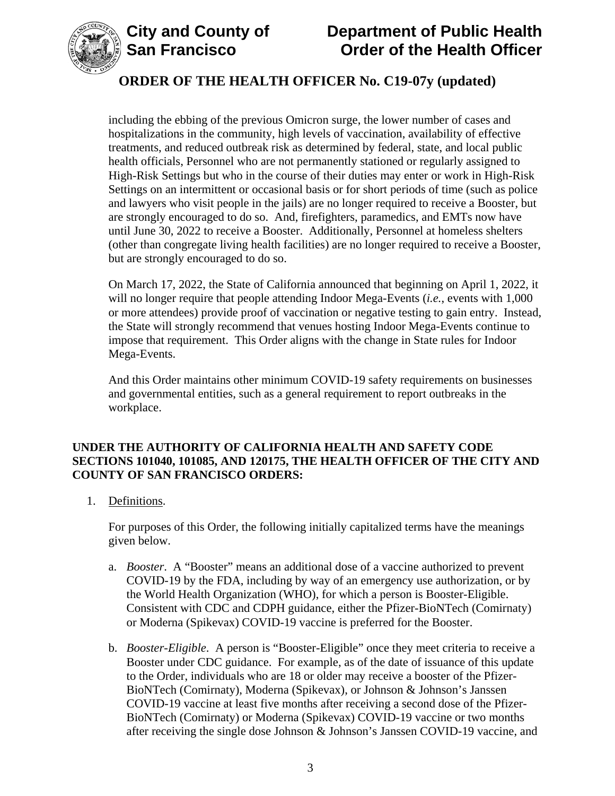



including the ebbing of the previous Omicron surge, the lower number of cases and hospitalizations in the community, high levels of vaccination, availability of effective treatments, and reduced outbreak risk as determined by federal, state, and local public health officials, Personnel who are not permanently stationed or regularly assigned to High-Risk Settings but who in the course of their duties may enter or work in High-Risk Settings on an intermittent or occasional basis or for short periods of time (such as police and lawyers who visit people in the jails) are no longer required to receive a Booster, but are strongly encouraged to do so. And, firefighters, paramedics, and EMTs now have until June 30, 2022 to receive a Booster. Additionally, Personnel at homeless shelters (other than congregate living health facilities) are no longer required to receive a Booster, but are strongly encouraged to do so.

On March 17, 2022, the State of California announced that beginning on April 1, 2022, it will no longer require that people attending Indoor Mega-Events (*i.e.*, events with 1,000 or more attendees) provide proof of vaccination or negative testing to gain entry. Instead, the State will strongly recommend that venues hosting Indoor Mega-Events continue to impose that requirement. This Order aligns with the change in State rules for Indoor Mega-Events.

And this Order maintains other minimum COVID-19 safety requirements on businesses and governmental entities, such as a general requirement to report outbreaks in the workplace.

#### **UNDER THE AUTHORITY OF CALIFORNIA HEALTH AND SAFETY CODE SECTIONS 101040, 101085, AND 120175, THE HEALTH OFFICER OF THE CITY AND COUNTY OF SAN FRANCISCO ORDERS:**

1. Definitions.

For purposes of this Order, the following initially capitalized terms have the meanings given below.

- a. *Booster*. A "Booster" means an additional dose of a vaccine authorized to prevent COVID-19 by the FDA, including by way of an emergency use authorization, or by the World Health Organization (WHO), for which a person is Booster-Eligible. Consistent with CDC and CDPH guidance, either the Pfizer-BioNTech (Comirnaty) or Moderna (Spikevax) COVID-19 vaccine is preferred for the Booster.
- b. *Booster-Eligible*. A person is "Booster-Eligible" once they meet criteria to receive a Booster under CDC guidance. For example, as of the date of issuance of this update to the Order, individuals who are 18 or older may receive a booster of the Pfizer-BioNTech (Comirnaty), Moderna (Spikevax), or Johnson & Johnson's Janssen COVID-19 vaccine at least five months after receiving a second dose of the Pfizer-BioNTech (Comirnaty) or Moderna (Spikevax) COVID-19 vaccine or two months after receiving the single dose Johnson & Johnson's Janssen COVID-19 vaccine, and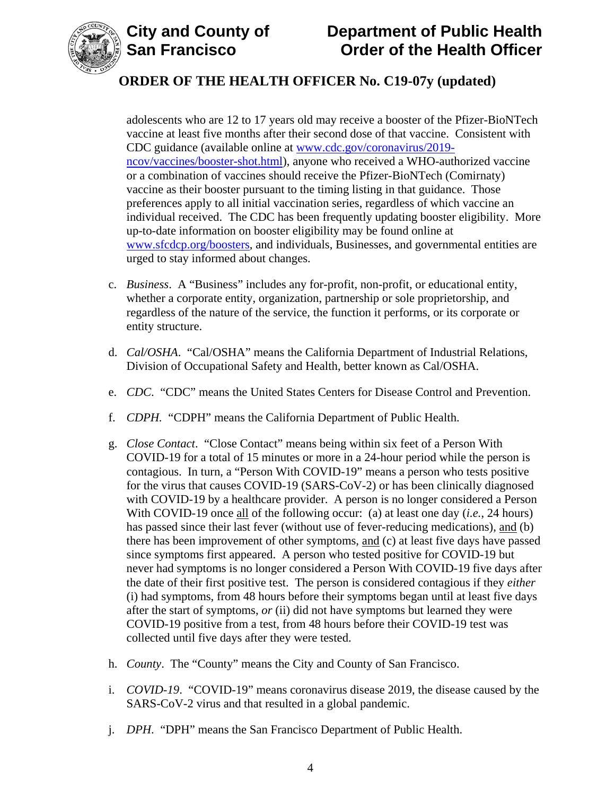



adolescents who are 12 to 17 years old may receive a booster of the Pfizer-BioNTech vaccine at least five months after their second dose of that vaccine. Consistent with CDC guidance (available online at [www.cdc.gov/coronavirus/2019](https://www.cdc.gov/coronavirus/2019-ncov/vaccines/booster-shot.html) [ncov/vaccines/booster-shot.html\)](https://www.cdc.gov/coronavirus/2019-ncov/vaccines/booster-shot.html), anyone who received a WHO-authorized vaccine or a combination of vaccines should receive the Pfizer-BioNTech (Comirnaty) vaccine as their booster pursuant to the timing listing in that guidance. Those preferences apply to all initial vaccination series, regardless of which vaccine an individual received. The CDC has been frequently updating booster eligibility. More up-to-date information on booster eligibility may be found online at [www.sfcdcp.org/boosters,](https://www.sfcdcp.org/boosters) and individuals, Businesses, and governmental entities are urged to stay informed about changes.

- c. *Business*. A "Business" includes any for-profit, non-profit, or educational entity, whether a corporate entity, organization, partnership or sole proprietorship, and regardless of the nature of the service, the function it performs, or its corporate or entity structure.
- d. *Cal/OSHA*. "Cal/OSHA" means the California Department of Industrial Relations, Division of Occupational Safety and Health, better known as Cal/OSHA.
- e. *CDC*. "CDC" means the United States Centers for Disease Control and Prevention.
- f. *CDPH.* "CDPH" means the California Department of Public Health.
- g. *Close Contact*. "Close Contact" means being within six feet of a Person With COVID-19 for a total of 15 minutes or more in a 24-hour period while the person is contagious. In turn, a "Person With COVID-19" means a person who tests positive for the virus that causes COVID-19 (SARS-CoV-2) or has been clinically diagnosed with COVID-19 by a healthcare provider. A person is no longer considered a Person With COVID-19 once all of the following occur: (a) at least one day (*i.e.*, 24 hours) has passed since their last fever (without use of fever-reducing medications), and (b) there has been improvement of other symptoms, and (c) at least five days have passed since symptoms first appeared. A person who tested positive for COVID-19 but never had symptoms is no longer considered a Person With COVID-19 five days after the date of their first positive test. The person is considered contagious if they *either* (i) had symptoms, from 48 hours before their symptoms began until at least five days after the start of symptoms, *or* (ii) did not have symptoms but learned they were COVID-19 positive from a test, from 48 hours before their COVID-19 test was collected until five days after they were tested.
- h. *County*. The "County" means the City and County of San Francisco.
- i. *COVID-19*. "COVID-19" means coronavirus disease 2019, the disease caused by the SARS-CoV-2 virus and that resulted in a global pandemic.
- j. *DPH*. "DPH" means the San Francisco Department of Public Health.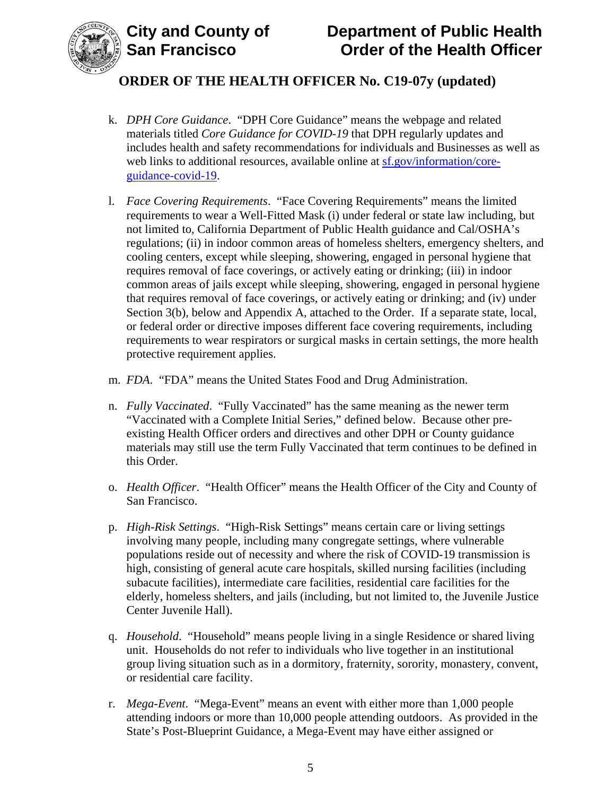



- k. *DPH Core Guidance*. "DPH Core Guidance" means the webpage and related materials titled *Core Guidance for COVID-19* that DPH regularly updates and includes health and safety recommendations for individuals and Businesses as well as web links to additional resources, available online at [sf.gov/information/core](https://sf.gov/information/core-guidance-covid-19)[guidance-covid-19.](https://sf.gov/information/core-guidance-covid-19)
- l. *Face Covering Requirements*. "Face Covering Requirements" means the limited requirements to wear a Well-Fitted Mask (i) under federal or state law including, but not limited to, California Department of Public Health guidance and Cal/OSHA's regulations; (ii) in indoor common areas of homeless shelters, emergency shelters, and cooling centers, except while sleeping, showering, engaged in personal hygiene that requires removal of face coverings, or actively eating or drinking; (iii) in indoor common areas of jails except while sleeping, showering, engaged in personal hygiene that requires removal of face coverings, or actively eating or drinking; and (iv) under Section 3(b), below and Appendix A, attached to the Order. If a separate state, local, or federal order or directive imposes different face covering requirements, including requirements to wear respirators or surgical masks in certain settings, the more health protective requirement applies.
- m. *FDA*. "FDA" means the United States Food and Drug Administration.
- n. *Fully Vaccinated*. "Fully Vaccinated" has the same meaning as the newer term "Vaccinated with a Complete Initial Series," defined below. Because other preexisting Health Officer orders and directives and other DPH or County guidance materials may still use the term Fully Vaccinated that term continues to be defined in this Order.
- o. *Health Officer*. "Health Officer" means the Health Officer of the City and County of San Francisco.
- p. *High-Risk Settings*. "High-Risk Settings" means certain care or living settings involving many people, including many congregate settings, where vulnerable populations reside out of necessity and where the risk of COVID-19 transmission is high, consisting of general acute care hospitals, skilled nursing facilities (including subacute facilities), intermediate care facilities, residential care facilities for the elderly, homeless shelters, and jails (including, but not limited to, the Juvenile Justice Center Juvenile Hall).
- q. *Household*. "Household" means people living in a single Residence or shared living unit. Households do not refer to individuals who live together in an institutional group living situation such as in a dormitory, fraternity, sorority, monastery, convent, or residential care facility.
- r. *Mega-Event*. "Mega-Event" means an event with either more than 1,000 people attending indoors or more than 10,000 people attending outdoors. As provided in the State's Post-Blueprint Guidance, a Mega-Event may have either assigned or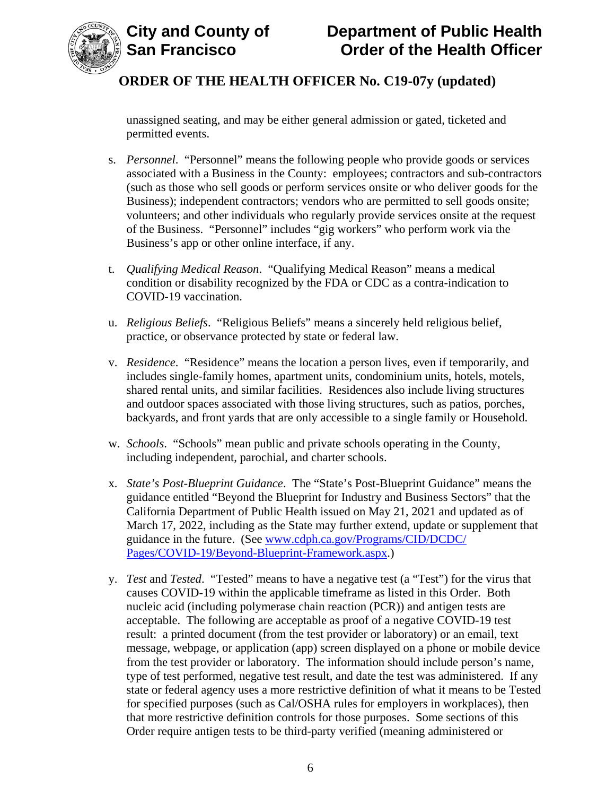

unassigned seating, and may be either general admission or gated, ticketed and permitted events.

- s. *Personnel*."Personnel" means the following people who provide goods or services associated with a Business in the County: employees; contractors and sub-contractors (such as those who sell goods or perform services onsite or who deliver goods for the Business); independent contractors; vendors who are permitted to sell goods onsite; volunteers; and other individuals who regularly provide services onsite at the request of the Business. "Personnel" includes "gig workers" who perform work via the Business's app or other online interface, if any.
- t. *Qualifying Medical Reason*. "Qualifying Medical Reason" means a medical condition or disability recognized by the FDA or CDC as a contra-indication to COVID-19 vaccination.
- u. *Religious Beliefs*. "Religious Beliefs" means a sincerely held religious belief, practice, or observance protected by state or federal law.
- v. *Residence*. "Residence" means the location a person lives, even if temporarily, and includes single-family homes, apartment units, condominium units, hotels, motels, shared rental units, and similar facilities. Residences also include living structures and outdoor spaces associated with those living structures, such as patios, porches, backyards, and front yards that are only accessible to a single family or Household.
- w. *Schools*. "Schools" mean public and private schools operating in the County, including independent, parochial, and charter schools.
- x. *State's Post-Blueprint Guidance*. The "State's Post-Blueprint Guidance" means the guidance entitled "Beyond the Blueprint for Industry and Business Sectors" that the California Department of Public Health issued on May 21, 2021 and updated as of March 17, 2022, including as the State may further extend, update or supplement that guidance in the future. (See [www.cdph.ca.gov/Programs/CID/DCDC/](http://www.cdph.ca.gov/Programs/CID/DCDC/Pages/COVID-19/Beyond-Blueprint-Framework.aspx) [Pages/COVID-19/Beyond-Blueprint-Framework.aspx.](http://www.cdph.ca.gov/Programs/CID/DCDC/Pages/COVID-19/Beyond-Blueprint-Framework.aspx))
- y. *Test* and *Tested*. "Tested" means to have a negative test (a "Test") for the virus that causes COVID-19 within the applicable timeframe as listed in this Order. Both nucleic acid (including polymerase chain reaction (PCR)) and antigen tests are acceptable. The following are acceptable as proof of a negative COVID-19 test result: a printed document (from the test provider or laboratory) or an email, text message, webpage, or application (app) screen displayed on a phone or mobile device from the test provider or laboratory. The information should include person's name, type of test performed, negative test result, and date the test was administered. If any state or federal agency uses a more restrictive definition of what it means to be Tested for specified purposes (such as Cal/OSHA rules for employers in workplaces), then that more restrictive definition controls for those purposes. Some sections of this Order require antigen tests to be third-party verified (meaning administered or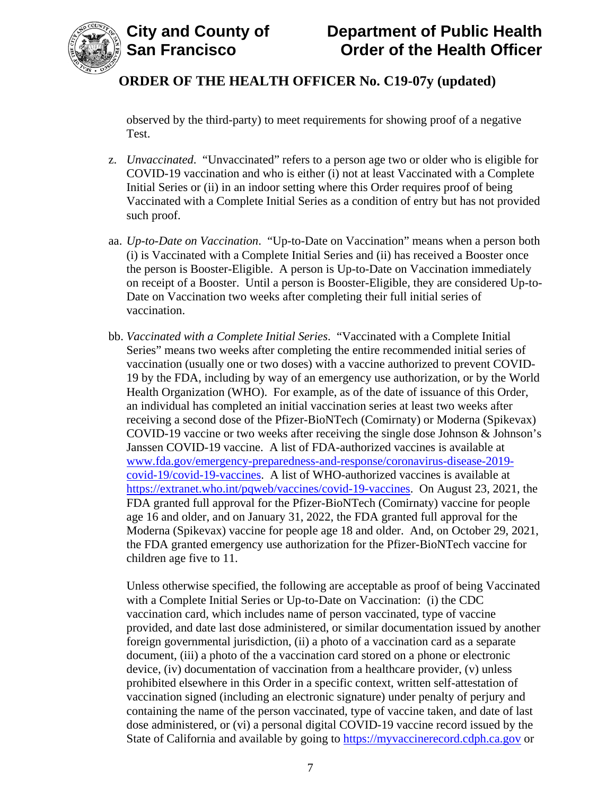

observed by the third-party) to meet requirements for showing proof of a negative Test.

- z. *Unvaccinated*. "Unvaccinated" refers to a person age two or older who is eligible for COVID-19 vaccination and who is either (i) not at least Vaccinated with a Complete Initial Series or (ii) in an indoor setting where this Order requires proof of being Vaccinated with a Complete Initial Series as a condition of entry but has not provided such proof.
- aa. *Up-to-Date on Vaccination*. "Up-to-Date on Vaccination" means when a person both (i) is Vaccinated with a Complete Initial Series and (ii) has received a Booster once the person is Booster-Eligible. A person is Up-to-Date on Vaccination immediately on receipt of a Booster. Until a person is Booster-Eligible, they are considered Up-to-Date on Vaccination two weeks after completing their full initial series of vaccination.
- bb. *Vaccinated with a Complete Initial Series*. "Vaccinated with a Complete Initial Series" means two weeks after completing the entire recommended initial series of vaccination (usually one or two doses) with a vaccine authorized to prevent COVID-19 by the FDA, including by way of an emergency use authorization, or by the World Health Organization (WHO). For example, as of the date of issuance of this Order, an individual has completed an initial vaccination series at least two weeks after receiving a second dose of the Pfizer-BioNTech (Comirnaty) or Moderna (Spikevax) COVID-19 vaccine or two weeks after receiving the single dose Johnson & Johnson's Janssen COVID-19 vaccine. A list of FDA-authorized vaccines is available at [www.fda.gov/emergency-preparedness-and-response/coronavirus-disease-2019](https://www.fda.gov/emergency-preparedness-and-response/coronavirus-disease-2019-covid-19/covid-19-vaccines) [covid-19/covid-19-vaccines.](https://www.fda.gov/emergency-preparedness-and-response/coronavirus-disease-2019-covid-19/covid-19-vaccines) A list of WHO-authorized vaccines is available at [https://extranet.who.int/pqweb/vaccines/covid-19-vaccines.](https://extranet.who.int/pqweb/vaccines/covid-19-vaccines) On August 23, 2021, the FDA granted full approval for the Pfizer-BioNTech (Comirnaty) vaccine for people age 16 and older, and on January 31, 2022, the FDA granted full approval for the Moderna (Spikevax) vaccine for people age 18 and older. And, on October 29, 2021, the FDA granted emergency use authorization for the Pfizer-BioNTech vaccine for children age five to 11.

Unless otherwise specified, the following are acceptable as proof of being Vaccinated with a Complete Initial Series or Up-to-Date on Vaccination: (i) the CDC vaccination card, which includes name of person vaccinated, type of vaccine provided, and date last dose administered, or similar documentation issued by another foreign governmental jurisdiction, (ii) a photo of a vaccination card as a separate document, (iii) a photo of the a vaccination card stored on a phone or electronic device, (iv) documentation of vaccination from a healthcare provider, (v) unless prohibited elsewhere in this Order in a specific context, written self-attestation of vaccination signed (including an electronic signature) under penalty of perjury and containing the name of the person vaccinated, type of vaccine taken, and date of last dose administered, or (vi) a personal digital COVID-19 vaccine record issued by the State of California and available by going to [https://myvaccinerecord.cdph.ca.gov](https://myvaccinerecord.cdph.ca.gov/) or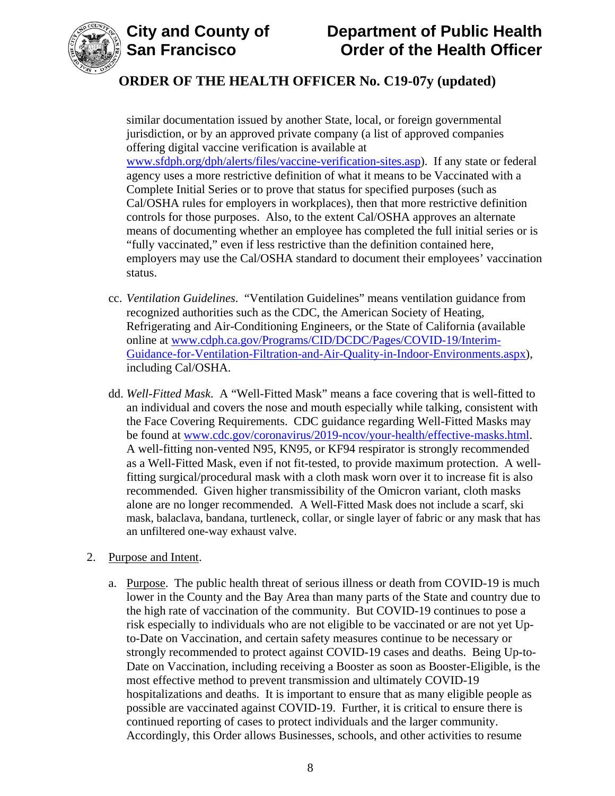



# **ORDER OF THE HEALTH OFFICER No. C19-07y (updated)**

similar documentation issued by another State, local, or foreign governmental jurisdiction, or by an approved private company (a list of approved companies offering digital vaccine verification is available at [www.sfdph.org/dph/alerts/files/vaccine-verification-sites.asp\)](https://www.sfdph.org/dph/alerts/files/vaccine-verification-sites.asp). If any state or federal agency uses a more restrictive definition of what it means to be Vaccinated with a Complete Initial Series or to prove that status for specified purposes (such as Cal/OSHA rules for employers in workplaces), then that more restrictive definition controls for those purposes. Also, to the extent Cal/OSHA approves an alternate means of documenting whether an employee has completed the full initial series or is "fully vaccinated," even if less restrictive than the definition contained here, employers may use the Cal/OSHA standard to document their employees' vaccination status.

- cc. *Ventilation Guidelines*. "Ventilation Guidelines" means ventilation guidance from recognized authorities such as the CDC, the American Society of Heating, Refrigerating and Air-Conditioning Engineers, or the State of California (available online at [www.cdph.ca.gov/Programs/CID/DCDC/Pages/COVID-19/Interim-](https://www.cdph.ca.gov/Programs/CID/DCDC/Pages/COVID-19/Interim-Guidance-for-Ventilation-Filtration-and-Air-Quality-in-Indoor-Environments.aspx)[Guidance-for-Ventilation-Filtration-and-Air-Quality-in-Indoor-Environments.aspx\)](https://www.cdph.ca.gov/Programs/CID/DCDC/Pages/COVID-19/Interim-Guidance-for-Ventilation-Filtration-and-Air-Quality-in-Indoor-Environments.aspx), including Cal/OSHA.
- dd. *Well-Fitted Mask*. A "Well-Fitted Mask" means a face covering that is well-fitted to an individual and covers the nose and mouth especially while talking, consistent with the Face Covering Requirements. CDC guidance regarding Well-Fitted Masks may be found at [www.cdc.gov/coronavirus/2019-ncov/your-health/effective-masks.html.](https://www.cdc.gov/coronavirus/2019-ncov/your-health/effective-masks.html) A well-fitting non-vented N95, KN95, or KF94 respirator is strongly recommended as a Well-Fitted Mask, even if not fit-tested, to provide maximum protection. A wellfitting surgical/procedural mask with a cloth mask worn over it to increase fit is also recommended. Given higher transmissibility of the Omicron variant, cloth masks alone are no longer recommended. A Well-Fitted Mask does not include a scarf, ski mask, balaclava, bandana, turtleneck, collar, or single layer of fabric or any mask that has an unfiltered one-way exhaust valve.
- 2. Purpose and Intent.
	- a. Purpose. The public health threat of serious illness or death from COVID-19 is much lower in the County and the Bay Area than many parts of the State and country due to the high rate of vaccination of the community. But COVID-19 continues to pose a risk especially to individuals who are not eligible to be vaccinated or are not yet Upto-Date on Vaccination, and certain safety measures continue to be necessary or strongly recommended to protect against COVID-19 cases and deaths. Being Up-to-Date on Vaccination, including receiving a Booster as soon as Booster-Eligible, is the most effective method to prevent transmission and ultimately COVID-19 hospitalizations and deaths. It is important to ensure that as many eligible people as possible are vaccinated against COVID-19. Further, it is critical to ensure there is continued reporting of cases to protect individuals and the larger community. Accordingly, this Order allows Businesses, schools, and other activities to resume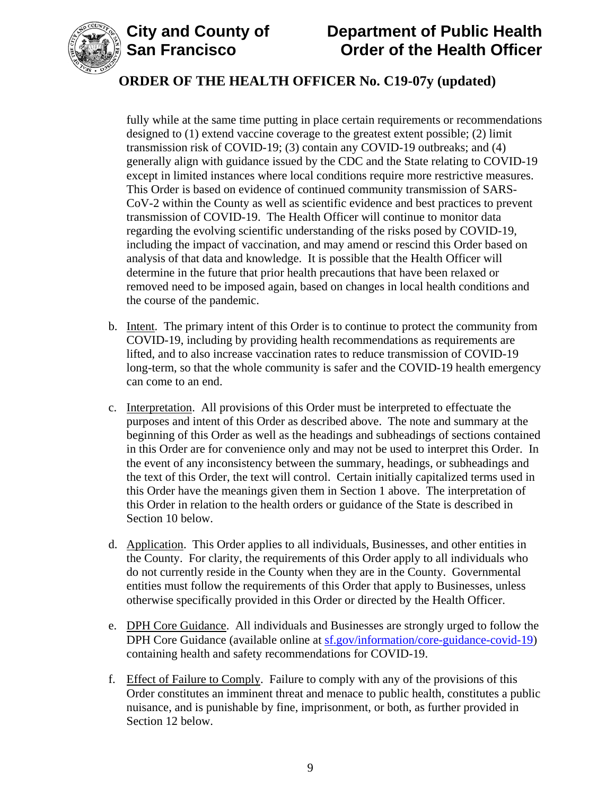



# **ORDER OF THE HEALTH OFFICER No. C19-07y (updated)**

fully while at the same time putting in place certain requirements or recommendations designed to (1) extend vaccine coverage to the greatest extent possible; (2) limit transmission risk of COVID-19; (3) contain any COVID-19 outbreaks; and (4) generally align with guidance issued by the CDC and the State relating to COVID-19 except in limited instances where local conditions require more restrictive measures. This Order is based on evidence of continued community transmission of SARS-CoV-2 within the County as well as scientific evidence and best practices to prevent transmission of COVID-19. The Health Officer will continue to monitor data regarding the evolving scientific understanding of the risks posed by COVID-19, including the impact of vaccination, and may amend or rescind this Order based on analysis of that data and knowledge. It is possible that the Health Officer will determine in the future that prior health precautions that have been relaxed or removed need to be imposed again, based on changes in local health conditions and the course of the pandemic.

- b. Intent. The primary intent of this Order is to continue to protect the community from COVID-19, including by providing health recommendations as requirements are lifted, and to also increase vaccination rates to reduce transmission of COVID-19 long-term, so that the whole community is safer and the COVID-19 health emergency can come to an end.
- c. Interpretation. All provisions of this Order must be interpreted to effectuate the purposes and intent of this Order as described above. The note and summary at the beginning of this Order as well as the headings and subheadings of sections contained in this Order are for convenience only and may not be used to interpret this Order. In the event of any inconsistency between the summary, headings, or subheadings and the text of this Order, the text will control. Certain initially capitalized terms used in this Order have the meanings given them in Section 1 above. The interpretation of this Order in relation to the health orders or guidance of the State is described in Section 10 below.
- d. Application. This Order applies to all individuals, Businesses, and other entities in the County. For clarity, the requirements of this Order apply to all individuals who do not currently reside in the County when they are in the County. Governmental entities must follow the requirements of this Order that apply to Businesses, unless otherwise specifically provided in this Order or directed by the Health Officer.
- e. DPH Core Guidance. All individuals and Businesses are strongly urged to follow the DPH Core Guidance (available online at  $s$ f.gov/information/core-guidance-covid-19) containing health and safety recommendations for COVID-19.
- f. Effect of Failure to Comply. Failure to comply with any of the provisions of this Order constitutes an imminent threat and menace to public health, constitutes a public nuisance, and is punishable by fine, imprisonment, or both, as further provided in Section 12 below.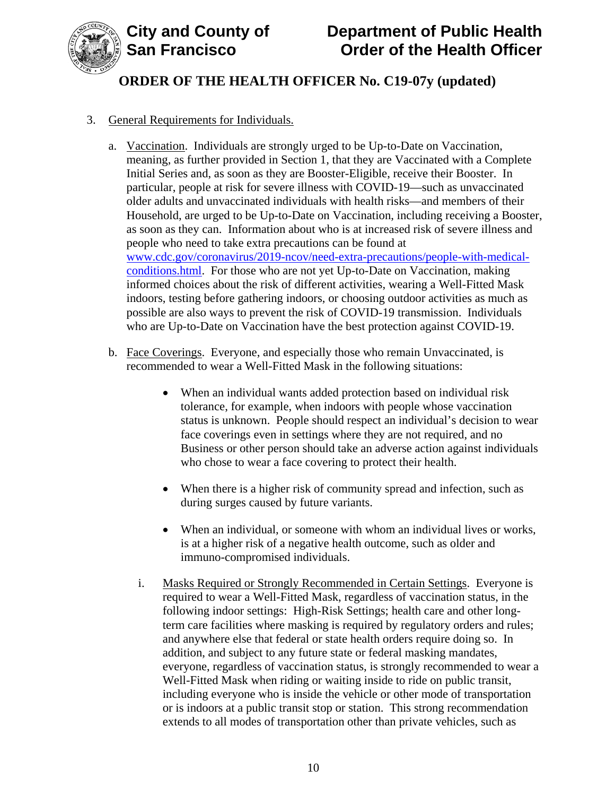

### 3. General Requirements for Individuals.

- a. Vaccination. Individuals are strongly urged to be Up-to-Date on Vaccination, meaning, as further provided in Section 1, that they are Vaccinated with a Complete Initial Series and, as soon as they are Booster-Eligible, receive their Booster. In particular, people at risk for severe illness with COVID-19—such as unvaccinated older adults and unvaccinated individuals with health risks—and members of their Household, are urged to be Up-to-Date on Vaccination, including receiving a Booster, as soon as they can. Information about who is at increased risk of severe illness and people who need to take extra precautions can be found at [www.cdc.gov/coronavirus/2019-ncov/need-extra-precautions/people-with-medical](https://www.cdc.gov/coronavirus/2019-ncov/need-extra-precautions/people-with-medical-conditions.html)[conditions.html.](https://www.cdc.gov/coronavirus/2019-ncov/need-extra-precautions/people-with-medical-conditions.html) For those who are not yet Up-to-Date on Vaccination, making informed choices about the risk of different activities, wearing a Well-Fitted Mask indoors, testing before gathering indoors, or choosing outdoor activities as much as possible are also ways to prevent the risk of COVID-19 transmission. Individuals who are Up-to-Date on Vaccination have the best protection against COVID-19.
- b. Face Coverings. Everyone, and especially those who remain Unvaccinated, is recommended to wear a Well-Fitted Mask in the following situations:
	- When an individual wants added protection based on individual risk tolerance, for example, when indoors with people whose vaccination status is unknown. People should respect an individual's decision to wear face coverings even in settings where they are not required, and no Business or other person should take an adverse action against individuals who chose to wear a face covering to protect their health.
	- When there is a higher risk of community spread and infection, such as during surges caused by future variants.
	- When an individual, or someone with whom an individual lives or works, is at a higher risk of a negative health outcome, such as older and immuno-compromised individuals.
	- i. Masks Required or Strongly Recommended in Certain Settings. Everyone is required to wear a Well-Fitted Mask, regardless of vaccination status, in the following indoor settings: High-Risk Settings; health care and other longterm care facilities where masking is required by regulatory orders and rules; and anywhere else that federal or state health orders require doing so. In addition, and subject to any future state or federal masking mandates, everyone, regardless of vaccination status, is strongly recommended to wear a Well-Fitted Mask when riding or waiting inside to ride on public transit, including everyone who is inside the vehicle or other mode of transportation or is indoors at a public transit stop or station. This strong recommendation extends to all modes of transportation other than private vehicles, such as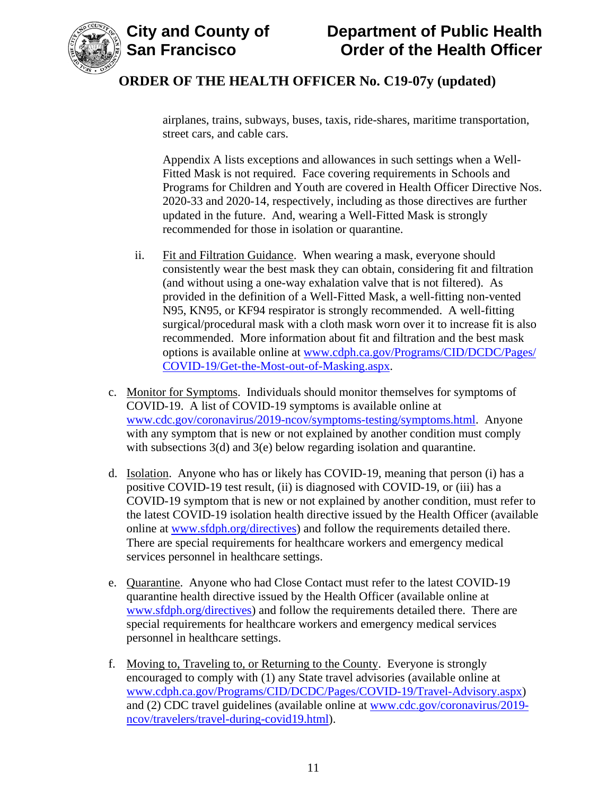



airplanes, trains, subways, buses, taxis, ride-shares, maritime transportation, street cars, and cable cars.

Appendix A lists exceptions and allowances in such settings when a Well-Fitted Mask is not required. Face covering requirements in Schools and Programs for Children and Youth are covered in Health Officer Directive Nos. 2020-33 and 2020-14, respectively, including as those directives are further updated in the future. And, wearing a Well-Fitted Mask is strongly recommended for those in isolation or quarantine.

- ii. Fit and Filtration Guidance. When wearing a mask, everyone should consistently wear the best mask they can obtain, considering fit and filtration (and without using a one-way exhalation valve that is not filtered). As provided in the definition of a Well-Fitted Mask, a well-fitting non-vented N95, KN95, or KF94 respirator is strongly recommended. A well-fitting surgical/procedural mask with a cloth mask worn over it to increase fit is also recommended. More information about fit and filtration and the best mask options is available online at [www.cdph.ca.gov/Programs/CID/DCDC/Pages/](https://www.cdph.ca.gov/Programs/CID/DCDC/Pages/COVID-19/Get-the-Most-out-of-Masking.aspx) [COVID-19/Get-the-Most-out-of-Masking.aspx.](https://www.cdph.ca.gov/Programs/CID/DCDC/Pages/COVID-19/Get-the-Most-out-of-Masking.aspx)
- c. Monitor for Symptoms. Individuals should monitor themselves for symptoms of COVID-19. A list of COVID-19 symptoms is available online at [www.cdc.gov/coronavirus/2019-ncov/symptoms-testing/symptoms.html.](https://www.cdc.gov/coronavirus/2019-ncov/symptoms-testing/symptoms.html) Anyone with any symptom that is new or not explained by another condition must comply with subsections 3(d) and 3(e) below regarding isolation and quarantine.
- d. Isolation. Anyone who has or likely has COVID-19, meaning that person (i) has a positive COVID-19 test result, (ii) is diagnosed with COVID-19, or (iii) has a COVID-19 symptom that is new or not explained by another condition, must refer to the latest COVID-19 isolation health directive issued by the Health Officer (available online at [www.sfdph.org/directives\)](https://www.sfdph.org/directives) and follow the requirements detailed there. There are special requirements for healthcare workers and emergency medical services personnel in healthcare settings.
- e. Quarantine. Anyone who had Close Contact must refer to the latest COVID-19 quarantine health directive issued by the Health Officer (available online at [www.sfdph.org/directives\)](https://www.sfdph.org/directives) and follow the requirements detailed there. There are special requirements for healthcare workers and emergency medical services personnel in healthcare settings.
- f. Moving to, Traveling to, or Returning to the County. Everyone is strongly encouraged to comply with (1) any State travel advisories (available online at [www.cdph.ca.gov/Programs/CID/DCDC/Pages/COVID-19/Travel-Advisory.aspx\)](https://www.cdph.ca.gov/Programs/CID/DCDC/Pages/COVID-19/Travel-Advisory.aspx) and (2) CDC travel guidelines (available online at [www.cdc.gov/coronavirus/2019](https://www.cdc.gov/coronavirus/2019-ncov/travelers/travel-during-covid19.html) [ncov/travelers/travel-during-covid19.html\)](https://www.cdc.gov/coronavirus/2019-ncov/travelers/travel-during-covid19.html).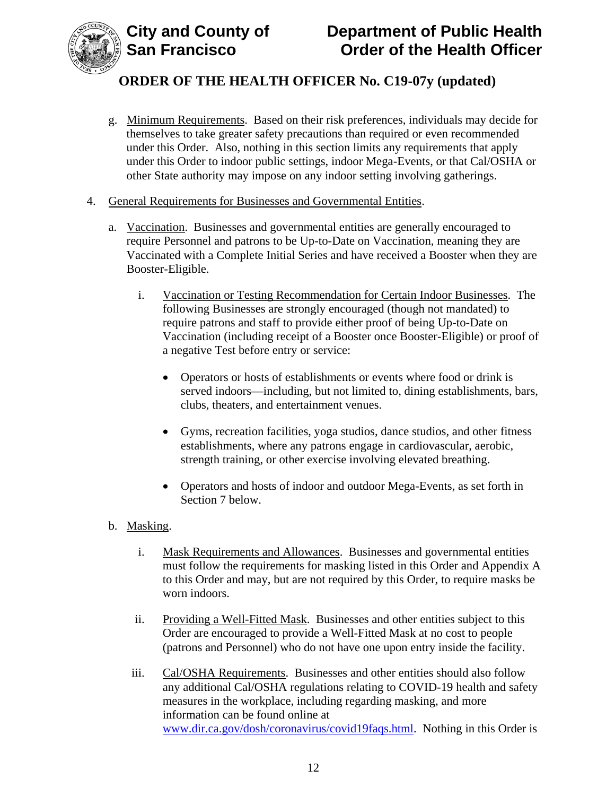

- g. Minimum Requirements. Based on their risk preferences, individuals may decide for themselves to take greater safety precautions than required or even recommended under this Order. Also, nothing in this section limits any requirements that apply under this Order to indoor public settings, indoor Mega-Events, or that Cal/OSHA or other State authority may impose on any indoor setting involving gatherings.
- 4. General Requirements for Businesses and Governmental Entities.
	- a. Vaccination. Businesses and governmental entities are generally encouraged to require Personnel and patrons to be Up-to-Date on Vaccination, meaning they are Vaccinated with a Complete Initial Series and have received a Booster when they are Booster-Eligible.
		- i. Vaccination or Testing Recommendation for Certain Indoor Businesses. The following Businesses are strongly encouraged (though not mandated) to require patrons and staff to provide either proof of being Up-to-Date on Vaccination (including receipt of a Booster once Booster-Eligible) or proof of a negative Test before entry or service:
			- Operators or hosts of establishments or events where food or drink is served indoors—including, but not limited to, dining establishments, bars, clubs, theaters, and entertainment venues.
			- Gyms, recreation facilities, yoga studios, dance studios, and other fitness establishments, where any patrons engage in cardiovascular, aerobic, strength training, or other exercise involving elevated breathing.
			- Operators and hosts of indoor and outdoor Mega-Events, as set forth in Section 7 below.
	- b. Masking.
		- i. Mask Requirements and Allowances. Businesses and governmental entities must follow the requirements for masking listed in this Order and Appendix A to this Order and may, but are not required by this Order, to require masks be worn indoors.
		- ii. Providing a Well-Fitted Mask. Businesses and other entities subject to this Order are encouraged to provide a Well-Fitted Mask at no cost to people (patrons and Personnel) who do not have one upon entry inside the facility.
		- iii. Cal/OSHA Requirements. Businesses and other entities should also follow any additional Cal/OSHA regulations relating to COVID-19 health and safety measures in the workplace, including regarding masking, and more information can be found online at [www.dir.ca.gov/dosh/coronavirus/covid19faqs.html.](https://www.dir.ca.gov/dosh/coronavirus/covid19faqs.html) Nothing in this Order is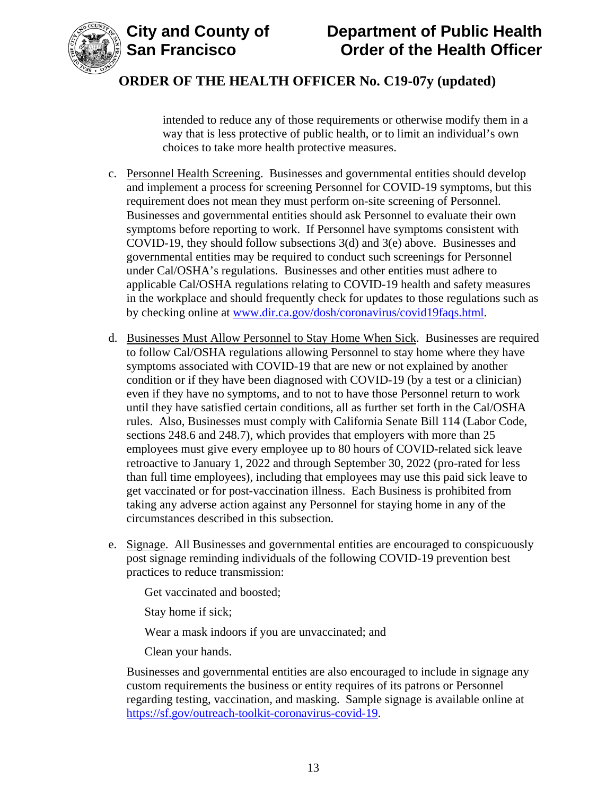



intended to reduce any of those requirements or otherwise modify them in a way that is less protective of public health, or to limit an individual's own choices to take more health protective measures.

- c. Personnel Health Screening. Businesses and governmental entities should develop and implement a process for screening Personnel for COVID-19 symptoms, but this requirement does not mean they must perform on-site screening of Personnel. Businesses and governmental entities should ask Personnel to evaluate their own symptoms before reporting to work. If Personnel have symptoms consistent with COVID-19, they should follow subsections 3(d) and 3(e) above. Businesses and governmental entities may be required to conduct such screenings for Personnel under Cal/OSHA's regulations. Businesses and other entities must adhere to applicable Cal/OSHA regulations relating to COVID-19 health and safety measures in the workplace and should frequently check for updates to those regulations such as by checking online at [www.dir.ca.gov/dosh/coronavirus/covid19faqs.html.](https://www.dir.ca.gov/dosh/coronavirus/covid19faqs.html)
- d. Businesses Must Allow Personnel to Stay Home When Sick. Businesses are required to follow Cal/OSHA regulations allowing Personnel to stay home where they have symptoms associated with COVID-19 that are new or not explained by another condition or if they have been diagnosed with COVID-19 (by a test or a clinician) even if they have no symptoms, and to not to have those Personnel return to work until they have satisfied certain conditions, all as further set forth in the Cal/OSHA rules. Also, Businesses must comply with California Senate Bill 114 (Labor Code, sections 248.6 and 248.7), which provides that employers with more than 25 employees must give every employee up to 80 hours of COVID-related sick leave retroactive to January 1, 2022 and through September 30, 2022 (pro-rated for less than full time employees), including that employees may use this paid sick leave to get vaccinated or for post-vaccination illness. Each Business is prohibited from taking any adverse action against any Personnel for staying home in any of the circumstances described in this subsection.
- e. Signage. All Businesses and governmental entities are encouraged to conspicuously post signage reminding individuals of the following COVID-19 prevention best practices to reduce transmission:

Get vaccinated and boosted;

Stay home if sick;

Wear a mask indoors if you are unvaccinated; and

Clean your hands.

Businesses and governmental entities are also encouraged to include in signage any custom requirements the business or entity requires of its patrons or Personnel regarding testing, vaccination, and masking. Sample signage is available online at [https://sf.gov/outreach-toolkit-coronavirus-covid-19.](https://sf.gov/outreach-toolkit-coronavirus-covid-19)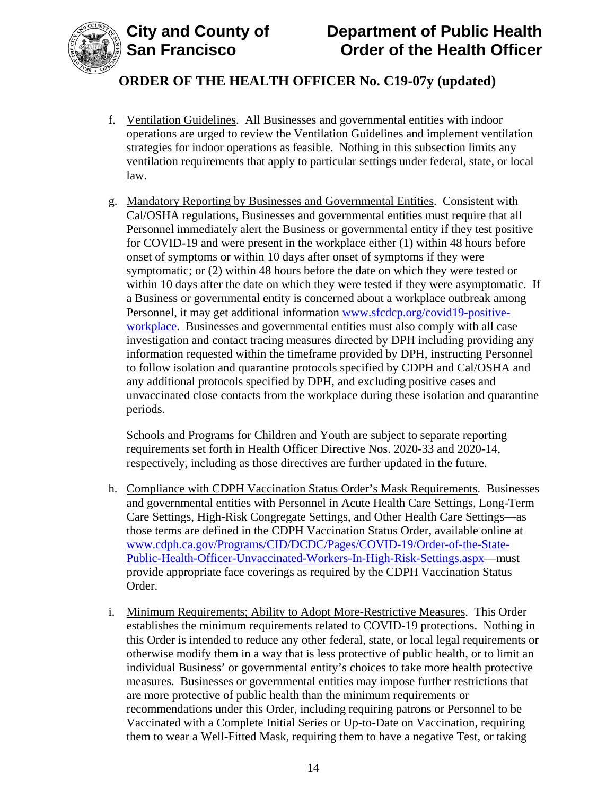

# **ORDER OF THE HEALTH OFFICER No. C19-07y (updated)**

- f. Ventilation Guidelines. All Businesses and governmental entities with indoor operations are urged to review the Ventilation Guidelines and implement ventilation strategies for indoor operations as feasible. Nothing in this subsection limits any ventilation requirements that apply to particular settings under federal, state, or local law.
- g. Mandatory Reporting by Businesses and Governmental Entities. Consistent with Cal/OSHA regulations, Businesses and governmental entities must require that all Personnel immediately alert the Business or governmental entity if they test positive for COVID-19 and were present in the workplace either (1) within 48 hours before onset of symptoms or within 10 days after onset of symptoms if they were symptomatic; or (2) within 48 hours before the date on which they were tested or within 10 days after the date on which they were tested if they were asymptomatic. If a Business or governmental entity is concerned about a workplace outbreak among Personnel, it may get additional information [www.sfcdcp.org/covid19-positive](http://www.sfcdcp.org/covid19-positive-workplace)[workplace.](http://www.sfcdcp.org/covid19-positive-workplace) Businesses and governmental entities must also comply with all case investigation and contact tracing measures directed by DPH including providing any information requested within the timeframe provided by DPH, instructing Personnel to follow isolation and quarantine protocols specified by CDPH and Cal/OSHA and any additional protocols specified by DPH, and excluding positive cases and unvaccinated close contacts from the workplace during these isolation and quarantine periods.

Schools and Programs for Children and Youth are subject to separate reporting requirements set forth in Health Officer Directive Nos. 2020-33 and 2020-14, respectively, including as those directives are further updated in the future.

- h. Compliance with CDPH Vaccination Status Order's Mask Requirements. Businesses and governmental entities with Personnel in Acute Health Care Settings, Long-Term Care Settings, High-Risk Congregate Settings, and Other Health Care Settings—as those terms are defined in the CDPH Vaccination Status Order, available online at [www.cdph.ca.gov/Programs/CID/DCDC/Pages/COVID-19/Order-of-the-State-](https://www.cdph.ca.gov/Programs/CID/DCDC/Pages/COVID-19/Order-of-the-State-Public-Health-Officer-Unvaccinated-Workers-In-High-Risk-Settings.aspx)[Public-Health-Officer-Unvaccinated-Workers-In-High-Risk-Settings.aspx—](https://www.cdph.ca.gov/Programs/CID/DCDC/Pages/COVID-19/Order-of-the-State-Public-Health-Officer-Unvaccinated-Workers-In-High-Risk-Settings.aspx)must provide appropriate face coverings as required by the CDPH Vaccination Status Order.
- i. Minimum Requirements; Ability to Adopt More-Restrictive Measures. This Order establishes the minimum requirements related to COVID-19 protections. Nothing in this Order is intended to reduce any other federal, state, or local legal requirements or otherwise modify them in a way that is less protective of public health, or to limit an individual Business' or governmental entity's choices to take more health protective measures. Businesses or governmental entities may impose further restrictions that are more protective of public health than the minimum requirements or recommendations under this Order, including requiring patrons or Personnel to be Vaccinated with a Complete Initial Series or Up-to-Date on Vaccination, requiring them to wear a Well-Fitted Mask, requiring them to have a negative Test, or taking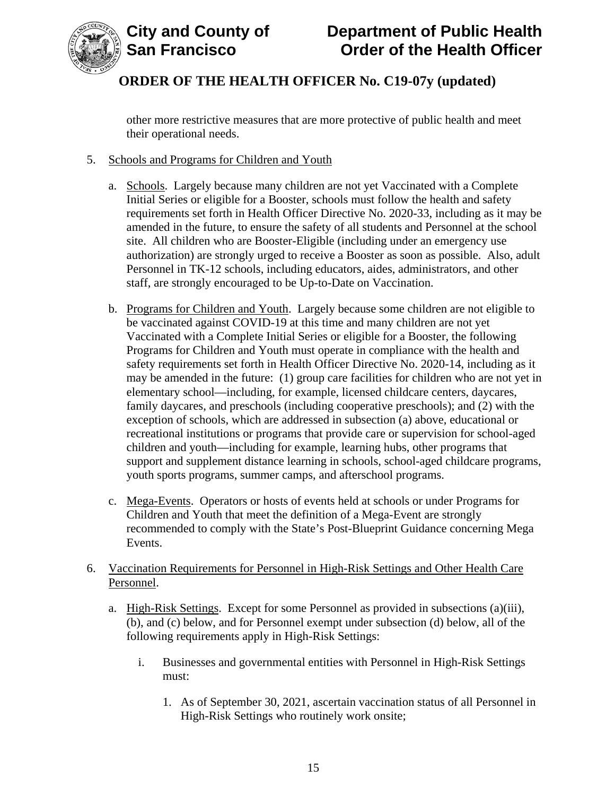

other more restrictive measures that are more protective of public health and meet their operational needs.

#### 5. Schools and Programs for Children and Youth

- a. Schools. Largely because many children are not yet Vaccinated with a Complete Initial Series or eligible for a Booster, schools must follow the health and safety requirements set forth in Health Officer Directive No. 2020-33, including as it may be amended in the future, to ensure the safety of all students and Personnel at the school site. All children who are Booster-Eligible (including under an emergency use authorization) are strongly urged to receive a Booster as soon as possible. Also, adult Personnel in TK-12 schools, including educators, aides, administrators, and other staff, are strongly encouraged to be Up-to-Date on Vaccination.
- b. Programs for Children and Youth. Largely because some children are not eligible to be vaccinated against COVID-19 at this time and many children are not yet Vaccinated with a Complete Initial Series or eligible for a Booster, the following Programs for Children and Youth must operate in compliance with the health and safety requirements set forth in Health Officer Directive No. 2020-14, including as it may be amended in the future: (1) group care facilities for children who are not yet in elementary school—including, for example, licensed childcare centers, daycares, family daycares, and preschools (including cooperative preschools); and (2) with the exception of schools, which are addressed in subsection (a) above, educational or recreational institutions or programs that provide care or supervision for school-aged children and youth—including for example, learning hubs, other programs that support and supplement distance learning in schools, school-aged childcare programs, youth sports programs, summer camps, and afterschool programs.
- c. Mega-Events. Operators or hosts of events held at schools or under Programs for Children and Youth that meet the definition of a Mega-Event are strongly recommended to comply with the State's Post-Blueprint Guidance concerning Mega Events.

#### 6. Vaccination Requirements for Personnel in High-Risk Settings and Other Health Care Personnel.

- a. High-Risk Settings. Except for some Personnel as provided in subsections (a)(iii), (b), and (c) below, and for Personnel exempt under subsection (d) below, all of the following requirements apply in High-Risk Settings:
	- i. Businesses and governmental entities with Personnel in High-Risk Settings must:
		- 1. As of September 30, 2021, ascertain vaccination status of all Personnel in High-Risk Settings who routinely work onsite;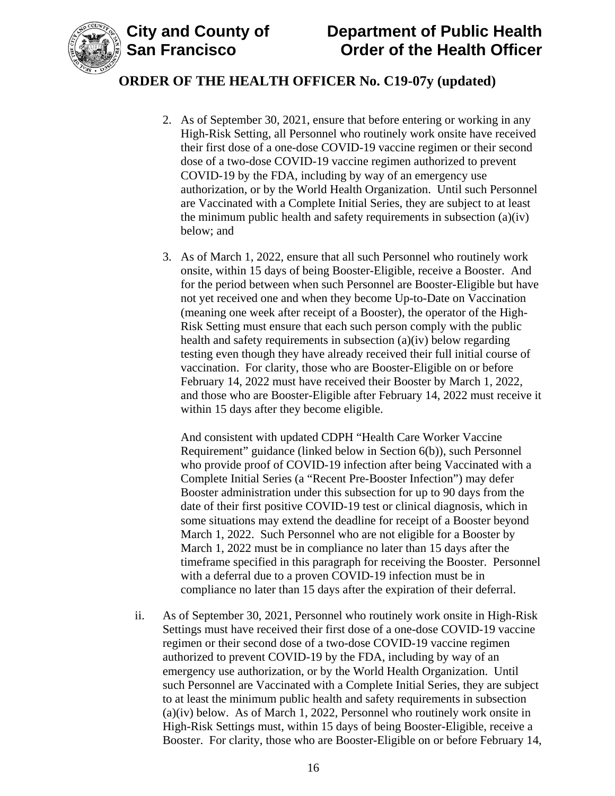

## **ORDER OF THE HEALTH OFFICER No. C19-07y (updated)**

- 2. As of September 30, 2021, ensure that before entering or working in any High-Risk Setting, all Personnel who routinely work onsite have received their first dose of a one-dose COVID-19 vaccine regimen or their second dose of a two-dose COVID-19 vaccine regimen authorized to prevent COVID-19 by the FDA, including by way of an emergency use authorization, or by the World Health Organization. Until such Personnel are Vaccinated with a Complete Initial Series, they are subject to at least the minimum public health and safety requirements in subsection (a)(iv) below; and
- 3. As of March 1, 2022, ensure that all such Personnel who routinely work onsite, within 15 days of being Booster-Eligible, receive a Booster. And for the period between when such Personnel are Booster-Eligible but have not yet received one and when they become Up-to-Date on Vaccination (meaning one week after receipt of a Booster), the operator of the High-Risk Setting must ensure that each such person comply with the public health and safety requirements in subsection (a)(iv) below regarding testing even though they have already received their full initial course of vaccination. For clarity, those who are Booster-Eligible on or before February 14, 2022 must have received their Booster by March 1, 2022, and those who are Booster-Eligible after February 14, 2022 must receive it within 15 days after they become eligible.

And consistent with updated CDPH "Health Care Worker Vaccine Requirement" guidance (linked below in Section 6(b)), such Personnel who provide proof of COVID-19 infection after being Vaccinated with a Complete Initial Series (a "Recent Pre-Booster Infection") may defer Booster administration under this subsection for up to 90 days from the date of their first positive COVID-19 test or clinical diagnosis, which in some situations may extend the deadline for receipt of a Booster beyond March 1, 2022. Such Personnel who are not eligible for a Booster by March 1, 2022 must be in compliance no later than 15 days after the timeframe specified in this paragraph for receiving the Booster. Personnel with a deferral due to a proven COVID-19 infection must be in compliance no later than 15 days after the expiration of their deferral.

ii. As of September 30, 2021, Personnel who routinely work onsite in High-Risk Settings must have received their first dose of a one-dose COVID-19 vaccine regimen or their second dose of a two-dose COVID-19 vaccine regimen authorized to prevent COVID-19 by the FDA, including by way of an emergency use authorization, or by the World Health Organization. Until such Personnel are Vaccinated with a Complete Initial Series, they are subject to at least the minimum public health and safety requirements in subsection (a)(iv) below. As of March 1, 2022, Personnel who routinely work onsite in High-Risk Settings must, within 15 days of being Booster-Eligible, receive a Booster. For clarity, those who are Booster-Eligible on or before February 14,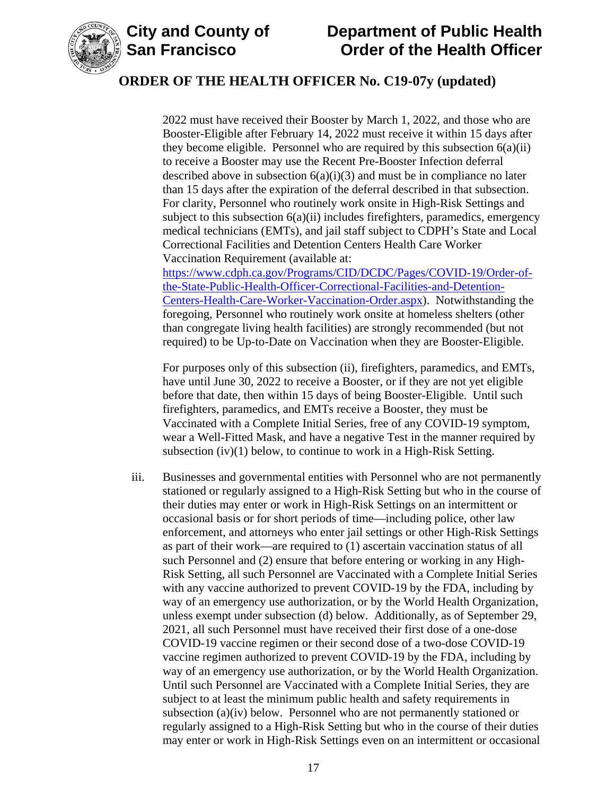

## **ORDER OF THE HEALTH OFFICER No. C19-07y (updated)**

2022 must have received their Booster by March 1, 2022, and those who are Booster-Eligible after February 14, 2022 must receive it within 15 days after they become eligible. Personnel who are required by this subsection  $6(a)(ii)$ to receive a Booster may use the Recent Pre-Booster Infection deferral described above in subsection  $6(a)(i)(3)$  and must be in compliance no later than 15 days after the expiration of the deferral described in that subsection. For clarity, Personnel who routinely work onsite in High-Risk Settings and subject to this subsection 6(a)(ii) includes firefighters, paramedics, emergency medical technicians (EMTs), and jail staff subject to CDPH's State and Local Correctional Facilities and Detention Centers Health Care Worker Vaccination Requirement (available at:

[https://www.cdph.ca.gov/Programs/CID/DCDC/Pages/COVID-19/Order-of](https://www.cdph.ca.gov/Programs/CID/DCDC/Pages/COVID-19/Order-of-the-State-Public-Health-Officer-Correctional-Facilities-and-Detention-Centers-Health-Care-Worker-Vaccination-Order.aspx)[the-State-Public-Health-Officer-Correctional-Facilities-and-Detention-](https://www.cdph.ca.gov/Programs/CID/DCDC/Pages/COVID-19/Order-of-the-State-Public-Health-Officer-Correctional-Facilities-and-Detention-Centers-Health-Care-Worker-Vaccination-Order.aspx)[Centers-Health-Care-Worker-Vaccination-Order.aspx\)](https://www.cdph.ca.gov/Programs/CID/DCDC/Pages/COVID-19/Order-of-the-State-Public-Health-Officer-Correctional-Facilities-and-Detention-Centers-Health-Care-Worker-Vaccination-Order.aspx). Notwithstanding the foregoing, Personnel who routinely work onsite at homeless shelters (other than congregate living health facilities) are strongly recommended (but not required) to be Up-to-Date on Vaccination when they are Booster-Eligible.

For purposes only of this subsection (ii), firefighters, paramedics, and EMTs, have until June 30, 2022 to receive a Booster, or if they are not yet eligible before that date, then within 15 days of being Booster-Eligible. Until such firefighters, paramedics, and EMTs receive a Booster, they must be Vaccinated with a Complete Initial Series, free of any COVID-19 symptom, wear a Well-Fitted Mask, and have a negative Test in the manner required by subsection (iv)(1) below, to continue to work in a High-Risk Setting.

iii. Businesses and governmental entities with Personnel who are not permanently stationed or regularly assigned to a High-Risk Setting but who in the course of their duties may enter or work in High-Risk Settings on an intermittent or occasional basis or for short periods of time—including police, other law enforcement, and attorneys who enter jail settings or other High-Risk Settings as part of their work—are required to (1) ascertain vaccination status of all such Personnel and (2) ensure that before entering or working in any High-Risk Setting, all such Personnel are Vaccinated with a Complete Initial Series with any vaccine authorized to prevent COVID-19 by the FDA, including by way of an emergency use authorization, or by the World Health Organization, unless exempt under subsection (d) below. Additionally, as of September 29, 2021, all such Personnel must have received their first dose of a one-dose COVID-19 vaccine regimen or their second dose of a two-dose COVID-19 vaccine regimen authorized to prevent COVID-19 by the FDA, including by way of an emergency use authorization, or by the World Health Organization. Until such Personnel are Vaccinated with a Complete Initial Series, they are subject to at least the minimum public health and safety requirements in subsection (a)(iv) below. Personnel who are not permanently stationed or regularly assigned to a High-Risk Setting but who in the course of their duties may enter or work in High-Risk Settings even on an intermittent or occasional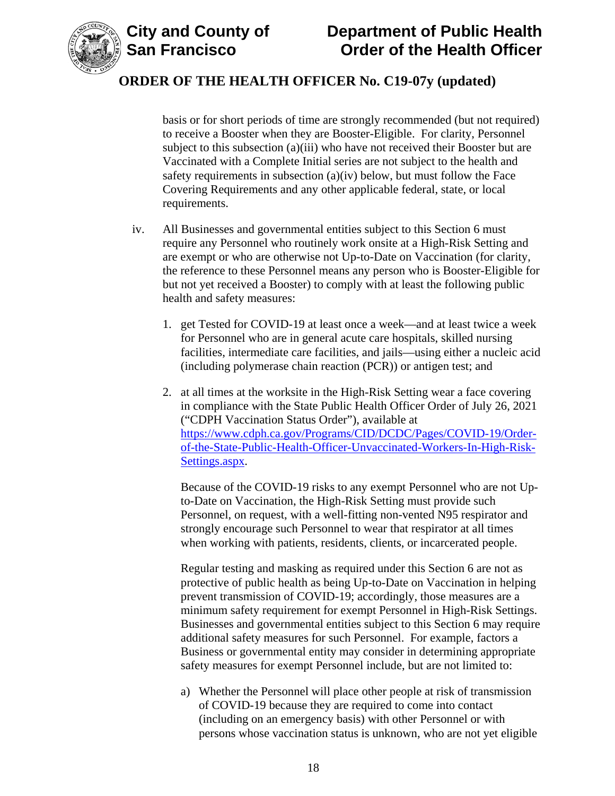

basis or for short periods of time are strongly recommended (but not required) to receive a Booster when they are Booster-Eligible. For clarity, Personnel subject to this subsection (a)(iii) who have not received their Booster but are Vaccinated with a Complete Initial series are not subject to the health and safety requirements in subsection (a)(iv) below, but must follow the Face Covering Requirements and any other applicable federal, state, or local requirements.

- iv. All Businesses and governmental entities subject to this Section 6 must require any Personnel who routinely work onsite at a High-Risk Setting and are exempt or who are otherwise not Up-to-Date on Vaccination (for clarity, the reference to these Personnel means any person who is Booster-Eligible for but not yet received a Booster) to comply with at least the following public health and safety measures:
	- 1. get Tested for COVID-19 at least once a week—and at least twice a week for Personnel who are in general acute care hospitals, skilled nursing facilities, intermediate care facilities, and jails—using either a nucleic acid (including polymerase chain reaction (PCR)) or antigen test; and
	- 2. at all times at the worksite in the High-Risk Setting wear a face covering in compliance with the State Public Health Officer Order of July 26, 2021 ("CDPH Vaccination Status Order"), available at [https://www.cdph.ca.gov/Programs/CID/DCDC/Pages/COVID-19/Order](https://www.cdph.ca.gov/Programs/CID/DCDC/Pages/COVID-19/Order-of-the-State-Public-Health-Officer-Unvaccinated-Workers-In-High-Risk-Settings.aspx)[of-the-State-Public-Health-Officer-Unvaccinated-Workers-In-High-Risk-](https://www.cdph.ca.gov/Programs/CID/DCDC/Pages/COVID-19/Order-of-the-State-Public-Health-Officer-Unvaccinated-Workers-In-High-Risk-Settings.aspx)[Settings.aspx.](https://www.cdph.ca.gov/Programs/CID/DCDC/Pages/COVID-19/Order-of-the-State-Public-Health-Officer-Unvaccinated-Workers-In-High-Risk-Settings.aspx)

Because of the COVID-19 risks to any exempt Personnel who are not Upto-Date on Vaccination, the High-Risk Setting must provide such Personnel, on request, with a well-fitting non-vented N95 respirator and strongly encourage such Personnel to wear that respirator at all times when working with patients, residents, clients, or incarcerated people.

Regular testing and masking as required under this Section 6 are not as protective of public health as being Up-to-Date on Vaccination in helping prevent transmission of COVID-19; accordingly, those measures are a minimum safety requirement for exempt Personnel in High-Risk Settings. Businesses and governmental entities subject to this Section 6 may require additional safety measures for such Personnel. For example, factors a Business or governmental entity may consider in determining appropriate safety measures for exempt Personnel include, but are not limited to:

a) Whether the Personnel will place other people at risk of transmission of COVID-19 because they are required to come into contact (including on an emergency basis) with other Personnel or with persons whose vaccination status is unknown, who are not yet eligible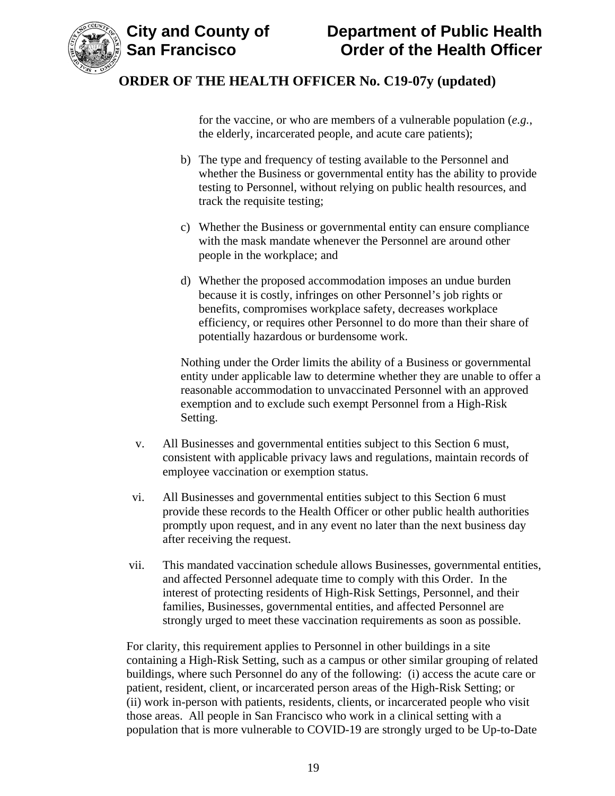

for the vaccine, or who are members of a vulnerable population (*e.g.*, the elderly, incarcerated people, and acute care patients);

- b) The type and frequency of testing available to the Personnel and whether the Business or governmental entity has the ability to provide testing to Personnel, without relying on public health resources, and track the requisite testing;
- c) Whether the Business or governmental entity can ensure compliance with the mask mandate whenever the Personnel are around other people in the workplace; and
- d) Whether the proposed accommodation imposes an undue burden because it is costly, infringes on other Personnel's job rights or benefits, compromises workplace safety, decreases workplace efficiency, or requires other Personnel to do more than their share of potentially hazardous or burdensome work.

Nothing under the Order limits the ability of a Business or governmental entity under applicable law to determine whether they are unable to offer a reasonable accommodation to unvaccinated Personnel with an approved exemption and to exclude such exempt Personnel from a High-Risk Setting.

- v. All Businesses and governmental entities subject to this Section 6 must, consistent with applicable privacy laws and regulations, maintain records of employee vaccination or exemption status.
- vi. All Businesses and governmental entities subject to this Section 6 must provide these records to the Health Officer or other public health authorities promptly upon request, and in any event no later than the next business day after receiving the request.
- vii. This mandated vaccination schedule allows Businesses, governmental entities, and affected Personnel adequate time to comply with this Order. In the interest of protecting residents of High-Risk Settings, Personnel, and their families, Businesses, governmental entities, and affected Personnel are strongly urged to meet these vaccination requirements as soon as possible.

For clarity, this requirement applies to Personnel in other buildings in a site containing a High-Risk Setting, such as a campus or other similar grouping of related buildings, where such Personnel do any of the following: (i) access the acute care or patient, resident, client, or incarcerated person areas of the High-Risk Setting; or (ii) work in-person with patients, residents, clients, or incarcerated people who visit those areas. All people in San Francisco who work in a clinical setting with a population that is more vulnerable to COVID-19 are strongly urged to be Up-to-Date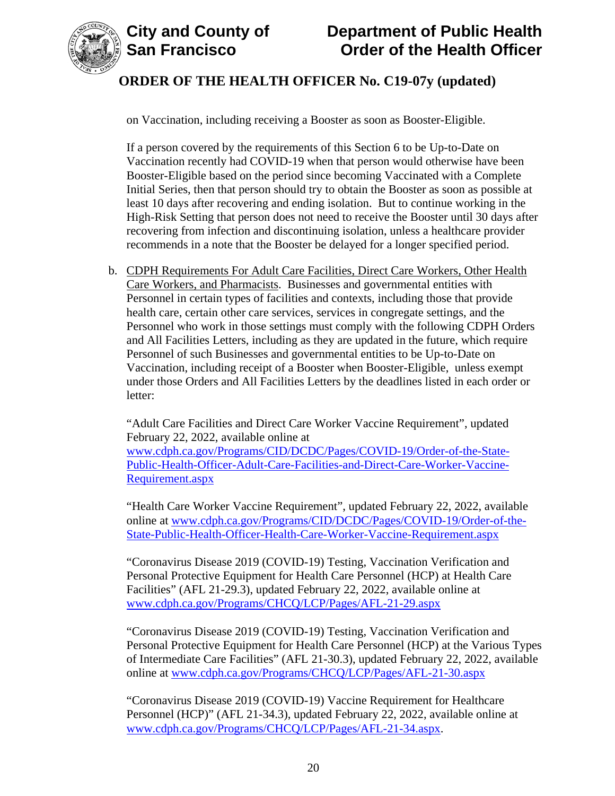



on Vaccination, including receiving a Booster as soon as Booster-Eligible.

If a person covered by the requirements of this Section 6 to be Up-to-Date on Vaccination recently had COVID-19 when that person would otherwise have been Booster-Eligible based on the period since becoming Vaccinated with a Complete Initial Series, then that person should try to obtain the Booster as soon as possible at least 10 days after recovering and ending isolation. But to continue working in the High-Risk Setting that person does not need to receive the Booster until 30 days after recovering from infection and discontinuing isolation, unless a healthcare provider recommends in a note that the Booster be delayed for a longer specified period.

b. CDPH Requirements For Adult Care Facilities, Direct Care Workers, Other Health Care Workers, and Pharmacists. Businesses and governmental entities with Personnel in certain types of facilities and contexts, including those that provide health care, certain other care services, services in congregate settings, and the Personnel who work in those settings must comply with the following CDPH Orders and All Facilities Letters, including as they are updated in the future, which require Personnel of such Businesses and governmental entities to be Up-to-Date on Vaccination, including receipt of a Booster when Booster-Eligible, unless exempt under those Orders and All Facilities Letters by the deadlines listed in each order or letter:

"Adult Care Facilities and Direct Care Worker Vaccine Requirement", updated February 22, 2022, available online at

[www.cdph.ca.gov/Programs/CID/DCDC/Pages/COVID-19/Order-of-the-State-](https://www.cdph.ca.gov/Programs/CID/DCDC/Pages/COVID-19/Order-of-the-State-Public-Health-Officer-Adult-Care-Facilities-and-Direct-Care-Worker-Vaccine-Requirement.aspx)[Public-Health-Officer-Adult-Care-Facilities-and-Direct-Care-Worker-Vaccine-](https://www.cdph.ca.gov/Programs/CID/DCDC/Pages/COVID-19/Order-of-the-State-Public-Health-Officer-Adult-Care-Facilities-and-Direct-Care-Worker-Vaccine-Requirement.aspx)[Requirement.aspx](https://www.cdph.ca.gov/Programs/CID/DCDC/Pages/COVID-19/Order-of-the-State-Public-Health-Officer-Adult-Care-Facilities-and-Direct-Care-Worker-Vaccine-Requirement.aspx)

"Health Care Worker Vaccine Requirement", updated February 22, 2022, available online at [www.cdph.ca.gov/Programs/CID/DCDC/Pages/COVID-19/Order-of-the-](https://www.cdph.ca.gov/Programs/CID/DCDC/Pages/COVID-19/Order-of-the-State-Public-Health-Officer-Health-Care-Worker-Vaccine-Requirement.aspx)[State-Public-Health-Officer-Health-Care-Worker-Vaccine-Requirement.aspx](https://www.cdph.ca.gov/Programs/CID/DCDC/Pages/COVID-19/Order-of-the-State-Public-Health-Officer-Health-Care-Worker-Vaccine-Requirement.aspx)

"Coronavirus Disease 2019 (COVID-19) Testing, Vaccination Verification and Personal Protective Equipment for Health Care Personnel (HCP) at Health Care Facilities" (AFL 21-29.3), updated February 22, 2022, available online at [www.cdph.ca.gov/Programs/CHCQ/LCP/Pages/AFL-21-29.aspx](https://www.cdph.ca.gov/Programs/CHCQ/LCP/Pages/AFL-21-29.aspx)

"Coronavirus Disease 2019 (COVID-19) Testing, Vaccination Verification and Personal Protective Equipment for Health Care Personnel (HCP) at the Various Types of Intermediate Care Facilities" (AFL 21-30.3), updated February 22, 2022, available online at [www.cdph.ca.gov/Programs/CHCQ/LCP/Pages/AFL-21-30.aspx](https://www.cdph.ca.gov/Programs/CHCQ/LCP/Pages/AFL-21-30.aspx)

"Coronavirus Disease 2019 (COVID-19) Vaccine Requirement for Healthcare Personnel (HCP)" (AFL 21-34.3), updated February 22, 2022, available online at [www.cdph.ca.gov/Programs/CHCQ/LCP/Pages/AFL-21-34.aspx.](https://www.cdph.ca.gov/Programs/CHCQ/LCP/Pages/AFL-21-34.aspx)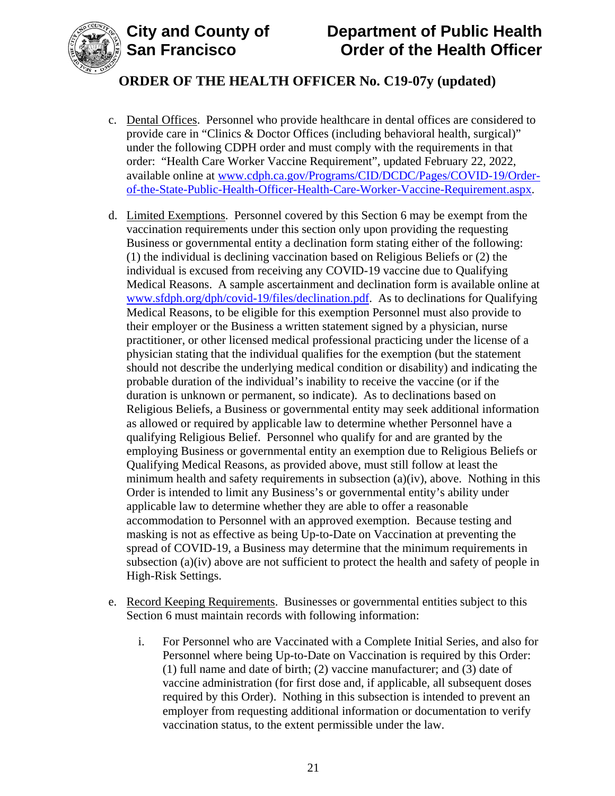



# **ORDER OF THE HEALTH OFFICER No. C19-07y (updated)**

- c. Dental Offices. Personnel who provide healthcare in dental offices are considered to provide care in "Clinics & Doctor Offices (including behavioral health, surgical)" under the following CDPH order and must comply with the requirements in that order: "Health Care Worker Vaccine Requirement", updated February 22, 2022, available online at [www.cdph.ca.gov/Programs/CID/DCDC/Pages/COVID-19/Order](https://www.cdph.ca.gov/Programs/CID/DCDC/Pages/COVID-19/Order-of-the-State-Public-Health-Officer-Health-Care-Worker-Vaccine-Requirement.aspx)[of-the-State-Public-Health-Officer-Health-Care-Worker-Vaccine-Requirement.aspx.](https://www.cdph.ca.gov/Programs/CID/DCDC/Pages/COVID-19/Order-of-the-State-Public-Health-Officer-Health-Care-Worker-Vaccine-Requirement.aspx)
- d. Limited Exemptions. Personnel covered by this Section 6 may be exempt from the vaccination requirements under this section only upon providing the requesting Business or governmental entity a declination form stating either of the following: (1) the individual is declining vaccination based on Religious Beliefs or (2) the individual is excused from receiving any COVID-19 vaccine due to Qualifying Medical Reasons. A sample ascertainment and declination form is available online at [www.sfdph.org/dph/covid-19/files/declination.pdf.](https://www.sfdph.org/dph/covid-19/files/declination.pdf) As to declinations for Qualifying Medical Reasons, to be eligible for this exemption Personnel must also provide to their employer or the Business a written statement signed by a physician, nurse practitioner, or other licensed medical professional practicing under the license of a physician stating that the individual qualifies for the exemption (but the statement should not describe the underlying medical condition or disability) and indicating the probable duration of the individual's inability to receive the vaccine (or if the duration is unknown or permanent, so indicate). As to declinations based on Religious Beliefs, a Business or governmental entity may seek additional information as allowed or required by applicable law to determine whether Personnel have a qualifying Religious Belief. Personnel who qualify for and are granted by the employing Business or governmental entity an exemption due to Religious Beliefs or Qualifying Medical Reasons, as provided above, must still follow at least the minimum health and safety requirements in subsection (a)(iv), above. Nothing in this Order is intended to limit any Business's or governmental entity's ability under applicable law to determine whether they are able to offer a reasonable accommodation to Personnel with an approved exemption. Because testing and masking is not as effective as being Up-to-Date on Vaccination at preventing the spread of COVID-19, a Business may determine that the minimum requirements in subsection (a)(iv) above are not sufficient to protect the health and safety of people in High-Risk Settings.
- e. Record Keeping Requirements. Businesses or governmental entities subject to this Section 6 must maintain records with following information:
	- i. For Personnel who are Vaccinated with a Complete Initial Series, and also for Personnel where being Up-to-Date on Vaccination is required by this Order: (1) full name and date of birth; (2) vaccine manufacturer; and (3) date of vaccine administration (for first dose and, if applicable, all subsequent doses required by this Order). Nothing in this subsection is intended to prevent an employer from requesting additional information or documentation to verify vaccination status, to the extent permissible under the law.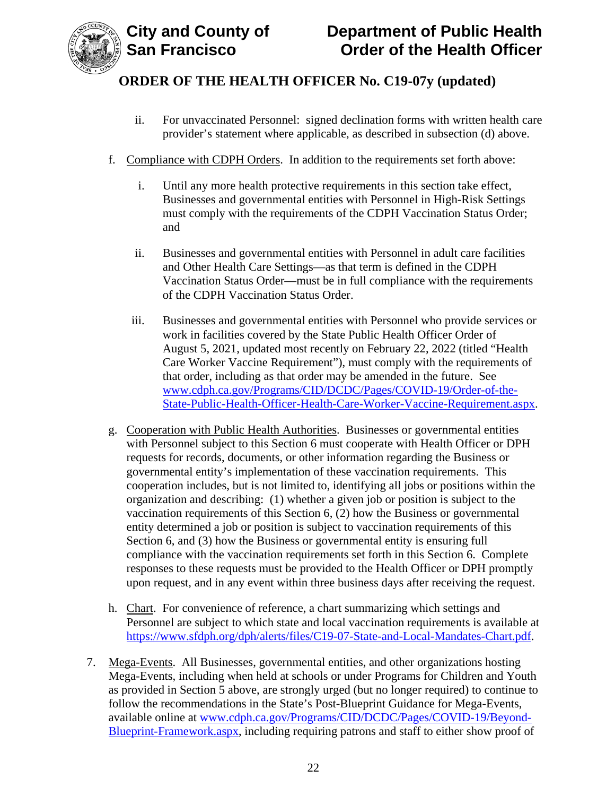

- ii. For unvaccinated Personnel: signed declination forms with written health care provider's statement where applicable, as described in subsection (d) above.
- f. Compliance with CDPH Orders. In addition to the requirements set forth above:
	- i. Until any more health protective requirements in this section take effect, Businesses and governmental entities with Personnel in High-Risk Settings must comply with the requirements of the CDPH Vaccination Status Order; and
	- ii. Businesses and governmental entities with Personnel in adult care facilities and Other Health Care Settings—as that term is defined in the CDPH Vaccination Status Order—must be in full compliance with the requirements of the CDPH Vaccination Status Order.
	- iii. Businesses and governmental entities with Personnel who provide services or work in facilities covered by the State Public Health Officer Order of August 5, 2021, updated most recently on February 22, 2022 (titled "Health Care Worker Vaccine Requirement"), must comply with the requirements of that order, including as that order may be amended in the future. See [www.cdph.ca.gov/Programs/CID/DCDC/Pages/COVID-19/Order-of-the-](https://www.cdph.ca.gov/Programs/CID/DCDC/Pages/COVID-19/Order-of-the-State-Public-Health-Officer-Health-Care-Worker-Vaccine-Requirement.aspx)[State-Public-Health-Officer-Health-Care-Worker-Vaccine-Requirement.aspx.](https://www.cdph.ca.gov/Programs/CID/DCDC/Pages/COVID-19/Order-of-the-State-Public-Health-Officer-Health-Care-Worker-Vaccine-Requirement.aspx)
- g. Cooperation with Public Health Authorities. Businesses or governmental entities with Personnel subject to this Section 6 must cooperate with Health Officer or DPH requests for records, documents, or other information regarding the Business or governmental entity's implementation of these vaccination requirements. This cooperation includes, but is not limited to, identifying all jobs or positions within the organization and describing: (1) whether a given job or position is subject to the vaccination requirements of this Section 6, (2) how the Business or governmental entity determined a job or position is subject to vaccination requirements of this Section 6, and (3) how the Business or governmental entity is ensuring full compliance with the vaccination requirements set forth in this Section 6. Complete responses to these requests must be provided to the Health Officer or DPH promptly upon request, and in any event within three business days after receiving the request.
- h. Chart. For convenience of reference, a chart summarizing which settings and Personnel are subject to which state and local vaccination requirements is available at [https://www.sfdph.org/dph/alerts/files/C19-07-State-and-Local-Mandates-Chart.pdf.](https://www.sfdph.org/dph/alerts/files/C19-07-State-and-Local-Mandates-Chart.pdf)
- 7. Mega-Events. All Businesses, governmental entities, and other organizations hosting Mega-Events, including when held at schools or under Programs for Children and Youth as provided in Section 5 above, are strongly urged (but no longer required) to continue to follow the recommendations in the State's Post-Blueprint Guidance for Mega-Events, available online at [www.cdph.ca.gov/Programs/CID/DCDC/Pages/COVID-19/Beyond-](https://www.cdph.ca.gov/Programs/CID/DCDC/Pages/COVID-19/Beyond-Blueprint-Framework.aspx)[Blueprint-Framework.aspx,](https://www.cdph.ca.gov/Programs/CID/DCDC/Pages/COVID-19/Beyond-Blueprint-Framework.aspx) including requiring patrons and staff to either show proof of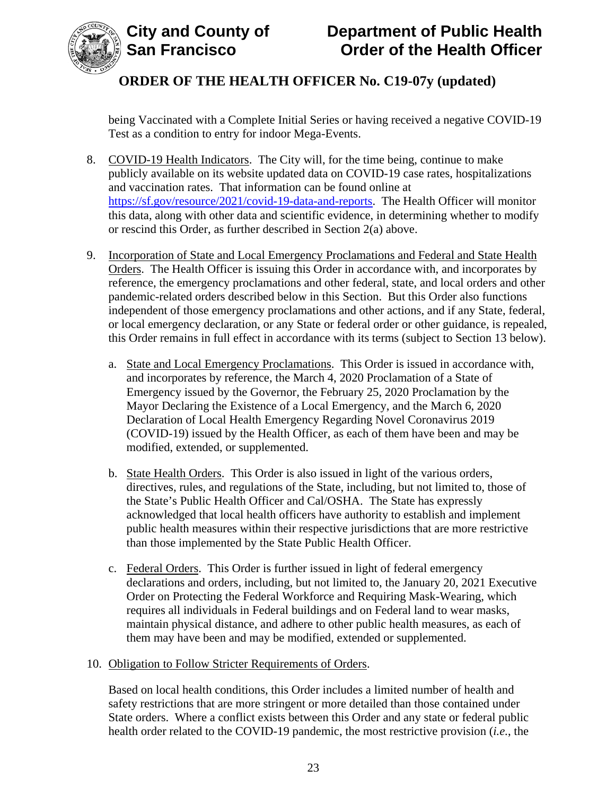

being Vaccinated with a Complete Initial Series or having received a negative COVID-19 Test as a condition to entry for indoor Mega-Events.

- 8. COVID-19 Health Indicators. The City will, for the time being, continue to make publicly available on its website updated data on COVID-19 case rates, hospitalizations and vaccination rates. That information can be found online at [https://sf.gov/resource/2021/covid-19-data-and-reports.](https://sf.gov/resource/2021/covid-19-data-and-reports) The Health Officer will monitor this data, along with other data and scientific evidence, in determining whether to modify or rescind this Order, as further described in Section 2(a) above.
- 9. Incorporation of State and Local Emergency Proclamations and Federal and State Health Orders. The Health Officer is issuing this Order in accordance with, and incorporates by reference, the emergency proclamations and other federal, state, and local orders and other pandemic-related orders described below in this Section. But this Order also functions independent of those emergency proclamations and other actions, and if any State, federal, or local emergency declaration, or any State or federal order or other guidance, is repealed, this Order remains in full effect in accordance with its terms (subject to Section 13 below).
	- a. State and Local Emergency Proclamations. This Order is issued in accordance with, and incorporates by reference, the March 4, 2020 Proclamation of a State of Emergency issued by the Governor, the February 25, 2020 Proclamation by the Mayor Declaring the Existence of a Local Emergency, and the March 6, 2020 Declaration of Local Health Emergency Regarding Novel Coronavirus 2019 (COVID-19) issued by the Health Officer, as each of them have been and may be modified, extended, or supplemented.
	- b. State Health Orders. This Order is also issued in light of the various orders, directives, rules, and regulations of the State, including, but not limited to, those of the State's Public Health Officer and Cal/OSHA. The State has expressly acknowledged that local health officers have authority to establish and implement public health measures within their respective jurisdictions that are more restrictive than those implemented by the State Public Health Officer.
	- c. Federal Orders. This Order is further issued in light of federal emergency declarations and orders, including, but not limited to, the January 20, 2021 Executive Order on Protecting the Federal Workforce and Requiring Mask-Wearing, which requires all individuals in Federal buildings and on Federal land to wear masks, maintain physical distance, and adhere to other public health measures, as each of them may have been and may be modified, extended or supplemented.

#### 10. Obligation to Follow Stricter Requirements of Orders.

Based on local health conditions, this Order includes a limited number of health and safety restrictions that are more stringent or more detailed than those contained under State orders. Where a conflict exists between this Order and any state or federal public health order related to the COVID-19 pandemic, the most restrictive provision (*i.e.*, the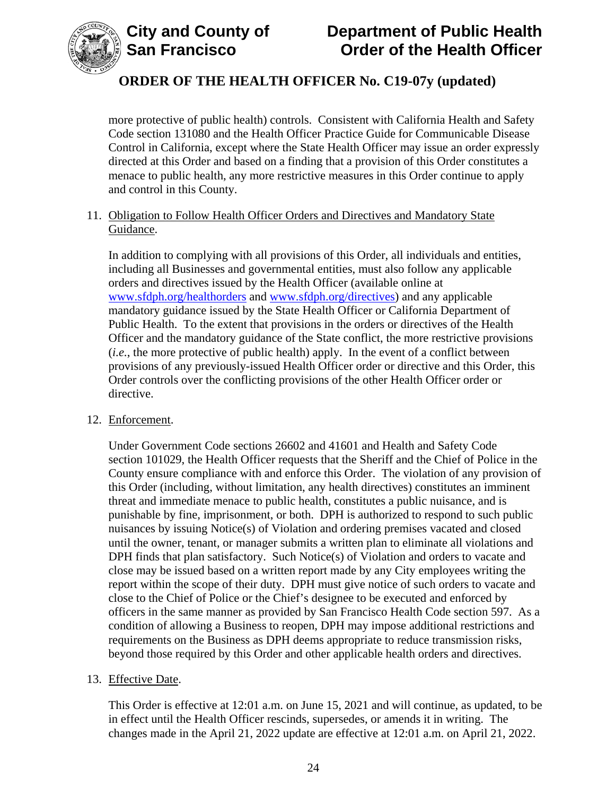

more protective of public health) controls. Consistent with California Health and Safety Code section 131080 and the Health Officer Practice Guide for Communicable Disease Control in California, except where the State Health Officer may issue an order expressly directed at this Order and based on a finding that a provision of this Order constitutes a menace to public health, any more restrictive measures in this Order continue to apply and control in this County.

#### 11. Obligation to Follow Health Officer Orders and Directives and Mandatory State Guidance.

In addition to complying with all provisions of this Order, all individuals and entities, including all Businesses and governmental entities, must also follow any applicable orders and directives issued by the Health Officer (available online at [www.sfdph.org/healthorders](http://www.sfdph.org/healthorders) and [www.sfdph.org/directives\)](https://www.sfdph.org/directives) and any applicable mandatory guidance issued by the State Health Officer or California Department of Public Health. To the extent that provisions in the orders or directives of the Health Officer and the mandatory guidance of the State conflict, the more restrictive provisions (*i.e.*, the more protective of public health) apply. In the event of a conflict between provisions of any previously-issued Health Officer order or directive and this Order, this Order controls over the conflicting provisions of the other Health Officer order or directive.

#### 12. Enforcement.

Under Government Code sections 26602 and 41601 and Health and Safety Code section 101029, the Health Officer requests that the Sheriff and the Chief of Police in the County ensure compliance with and enforce this Order. The violation of any provision of this Order (including, without limitation, any health directives) constitutes an imminent threat and immediate menace to public health, constitutes a public nuisance, and is punishable by fine, imprisonment, or both. DPH is authorized to respond to such public nuisances by issuing Notice(s) of Violation and ordering premises vacated and closed until the owner, tenant, or manager submits a written plan to eliminate all violations and DPH finds that plan satisfactory. Such Notice(s) of Violation and orders to vacate and close may be issued based on a written report made by any City employees writing the report within the scope of their duty. DPH must give notice of such orders to vacate and close to the Chief of Police or the Chief's designee to be executed and enforced by officers in the same manner as provided by San Francisco Health Code section 597. As a condition of allowing a Business to reopen, DPH may impose additional restrictions and requirements on the Business as DPH deems appropriate to reduce transmission risks, beyond those required by this Order and other applicable health orders and directives.

#### 13. Effective Date.

This Order is effective at 12:01 a.m. on June 15, 2021 and will continue, as updated, to be in effect until the Health Officer rescinds, supersedes, or amends it in writing. The changes made in the April 21, 2022 update are effective at 12:01 a.m. on April 21, 2022.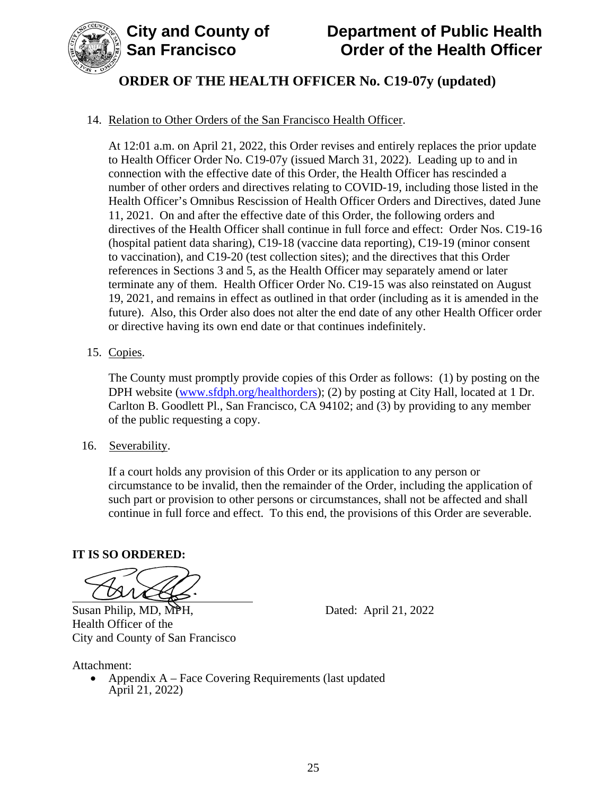

# **ORDER OF THE HEALTH OFFICER No. C19-07y (updated)**

### 14. Relation to Other Orders of the San Francisco Health Officer.

At 12:01 a.m. on April 21, 2022, this Order revises and entirely replaces the prior update to Health Officer Order No. C19-07y (issued March 31, 2022). Leading up to and in connection with the effective date of this Order, the Health Officer has rescinded a number of other orders and directives relating to COVID-19, including those listed in the Health Officer's Omnibus Rescission of Health Officer Orders and Directives, dated June 11, 2021. On and after the effective date of this Order, the following orders and directives of the Health Officer shall continue in full force and effect: Order Nos. C19-16 (hospital patient data sharing), C19-18 (vaccine data reporting), C19-19 (minor consent to vaccination), and C19-20 (test collection sites); and the directives that this Order references in Sections 3 and 5, as the Health Officer may separately amend or later terminate any of them. Health Officer Order No. C19-15 was also reinstated on August 19, 2021, and remains in effect as outlined in that order (including as it is amended in the future). Also, this Order also does not alter the end date of any other Health Officer order or directive having its own end date or that continues indefinitely.

#### 15. Copies.

The County must promptly provide copies of this Order as follows: (1) by posting on the DPH website (www.sfdph.org/healthorders); (2) by posting at City Hall, located at 1 Dr. Carlton B. Goodlett Pl., San Francisco, CA 94102; and (3) by providing to any member of the public requesting a copy.

16. Severability.

If a court holds any provision of this Order or its application to any person or circumstance to be invalid, then the remainder of the Order, including the application of such part or provision to other persons or circumstances, shall not be affected and shall continue in full force and effect. To this end, the provisions of this Order are severable.

#### **IT IS SO ORDERED:**

Susan Philip, MD, MPH, Dated: April 21, 2022

Health Officer of the City and County of San Francisco

Attachment:

• Appendix A – Face Covering Requirements (last updated April 21, 2022)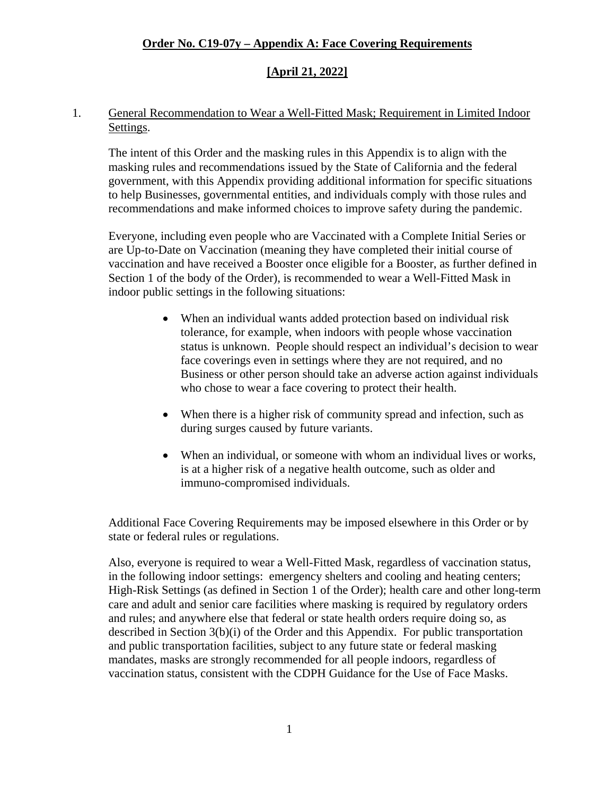## **[April 21, 2022]**

#### 1. General Recommendation to Wear a Well-Fitted Mask; Requirement in Limited Indoor Settings.

The intent of this Order and the masking rules in this Appendix is to align with the masking rules and recommendations issued by the State of California and the federal government, with this Appendix providing additional information for specific situations to help Businesses, governmental entities, and individuals comply with those rules and recommendations and make informed choices to improve safety during the pandemic.

Everyone, including even people who are Vaccinated with a Complete Initial Series or are Up-to-Date on Vaccination (meaning they have completed their initial course of vaccination and have received a Booster once eligible for a Booster, as further defined in Section 1 of the body of the Order), is recommended to wear a Well-Fitted Mask in indoor public settings in the following situations:

- When an individual wants added protection based on individual risk tolerance, for example, when indoors with people whose vaccination status is unknown. People should respect an individual's decision to wear face coverings even in settings where they are not required, and no Business or other person should take an adverse action against individuals who chose to wear a face covering to protect their health.
- When there is a higher risk of community spread and infection, such as during surges caused by future variants.
- When an individual, or someone with whom an individual lives or works, is at a higher risk of a negative health outcome, such as older and immuno-compromised individuals.

Additional Face Covering Requirements may be imposed elsewhere in this Order or by state or federal rules or regulations.

Also, everyone is required to wear a Well-Fitted Mask, regardless of vaccination status, in the following indoor settings: emergency shelters and cooling and heating centers; High-Risk Settings (as defined in Section 1 of the Order); health care and other long-term care and adult and senior care facilities where masking is required by regulatory orders and rules; and anywhere else that federal or state health orders require doing so, as described in Section 3(b)(i) of the Order and this Appendix. For public transportation and public transportation facilities, subject to any future state or federal masking mandates, masks are strongly recommended for all people indoors, regardless of vaccination status, consistent with the CDPH Guidance for the Use of Face Masks.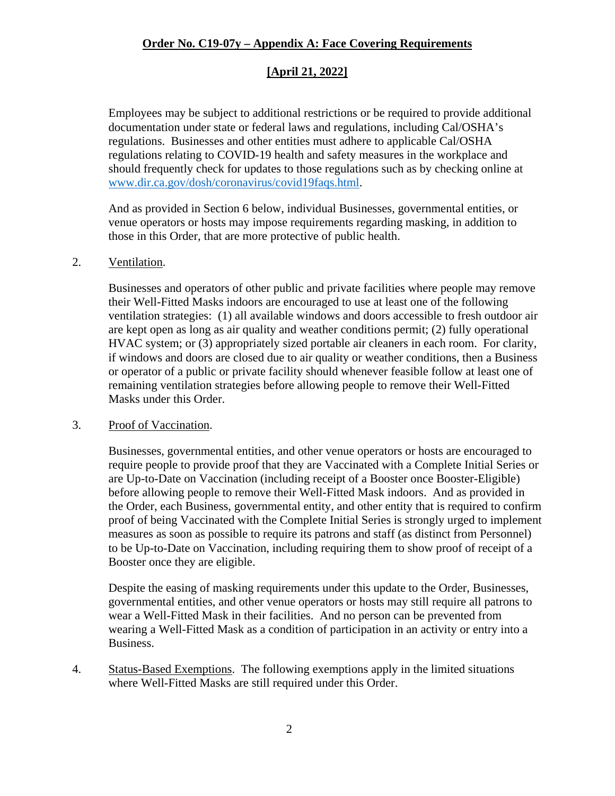## **[April 21, 2022]**

Employees may be subject to additional restrictions or be required to provide additional documentation under state or federal laws and regulations, including Cal/OSHA's regulations. Businesses and other entities must adhere to applicable Cal/OSHA regulations relating to COVID-19 health and safety measures in the workplace and should frequently check for updates to those regulations such as by checking online at [www.dir.ca.gov/dosh/coronavirus/covid19faqs.html.](https://www.dir.ca.gov/dosh/coronavirus/covid19faqs.html)

And as provided in Section 6 below, individual Businesses, governmental entities, or venue operators or hosts may impose requirements regarding masking, in addition to those in this Order, that are more protective of public health.

#### 2. Ventilation.

Businesses and operators of other public and private facilities where people may remove their Well-Fitted Masks indoors are encouraged to use at least one of the following ventilation strategies: (1) all available windows and doors accessible to fresh outdoor air are kept open as long as air quality and weather conditions permit; (2) fully operational HVAC system; or (3) appropriately sized portable air cleaners in each room. For clarity, if windows and doors are closed due to air quality or weather conditions, then a Business or operator of a public or private facility should whenever feasible follow at least one of remaining ventilation strategies before allowing people to remove their Well-Fitted Masks under this Order.

#### 3. Proof of Vaccination.

Businesses, governmental entities, and other venue operators or hosts are encouraged to require people to provide proof that they are Vaccinated with a Complete Initial Series or are Up-to-Date on Vaccination (including receipt of a Booster once Booster-Eligible) before allowing people to remove their Well-Fitted Mask indoors. And as provided in the Order, each Business, governmental entity, and other entity that is required to confirm proof of being Vaccinated with the Complete Initial Series is strongly urged to implement measures as soon as possible to require its patrons and staff (as distinct from Personnel) to be Up-to-Date on Vaccination, including requiring them to show proof of receipt of a Booster once they are eligible.

Despite the easing of masking requirements under this update to the Order, Businesses, governmental entities, and other venue operators or hosts may still require all patrons to wear a Well-Fitted Mask in their facilities. And no person can be prevented from wearing a Well-Fitted Mask as a condition of participation in an activity or entry into a Business.

4. Status-Based Exemptions. The following exemptions apply in the limited situations where Well-Fitted Masks are still required under this Order.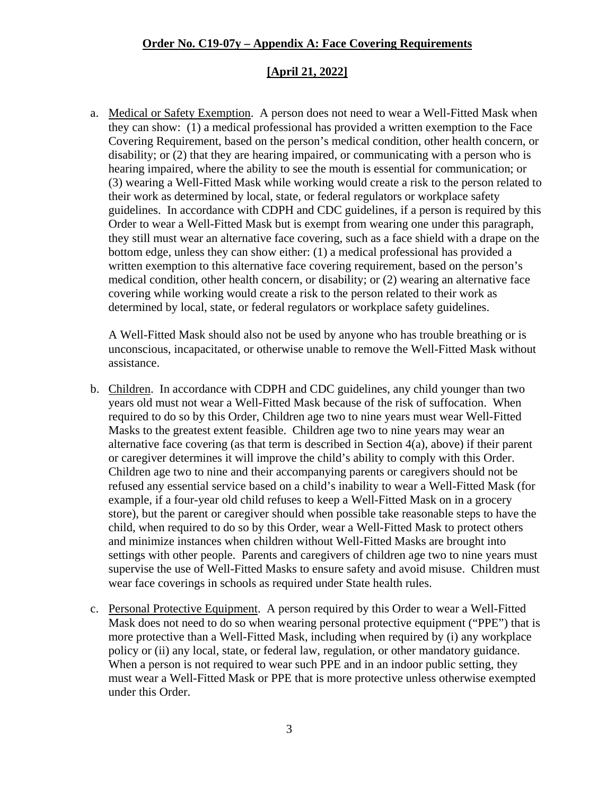#### **[April 21, 2022]**

a. Medical or Safety Exemption. A person does not need to wear a Well-Fitted Mask when they can show: (1) a medical professional has provided a written exemption to the Face Covering Requirement, based on the person's medical condition, other health concern, or disability; or (2) that they are hearing impaired, or communicating with a person who is hearing impaired, where the ability to see the mouth is essential for communication; or (3) wearing a Well-Fitted Mask while working would create a risk to the person related to their work as determined by local, state, or federal regulators or workplace safety guidelines. In accordance with CDPH and CDC guidelines, if a person is required by this Order to wear a Well-Fitted Mask but is exempt from wearing one under this paragraph, they still must wear an alternative face covering, such as a face shield with a drape on the bottom edge, unless they can show either: (1) a medical professional has provided a written exemption to this alternative face covering requirement, based on the person's medical condition, other health concern, or disability; or (2) wearing an alternative face covering while working would create a risk to the person related to their work as determined by local, state, or federal regulators or workplace safety guidelines.

A Well-Fitted Mask should also not be used by anyone who has trouble breathing or is unconscious, incapacitated, or otherwise unable to remove the Well-Fitted Mask without assistance.

- b. Children. In accordance with CDPH and CDC guidelines, any child younger than two years old must not wear a Well-Fitted Mask because of the risk of suffocation. When required to do so by this Order, Children age two to nine years must wear Well-Fitted Masks to the greatest extent feasible. Children age two to nine years may wear an alternative face covering (as that term is described in Section 4(a), above) if their parent or caregiver determines it will improve the child's ability to comply with this Order. Children age two to nine and their accompanying parents or caregivers should not be refused any essential service based on a child's inability to wear a Well-Fitted Mask (for example, if a four-year old child refuses to keep a Well-Fitted Mask on in a grocery store), but the parent or caregiver should when possible take reasonable steps to have the child, when required to do so by this Order, wear a Well-Fitted Mask to protect others and minimize instances when children without Well-Fitted Masks are brought into settings with other people. Parents and caregivers of children age two to nine years must supervise the use of Well-Fitted Masks to ensure safety and avoid misuse. Children must wear face coverings in schools as required under State health rules.
- c. Personal Protective Equipment. A person required by this Order to wear a Well-Fitted Mask does not need to do so when wearing personal protective equipment ("PPE") that is more protective than a Well-Fitted Mask, including when required by (i) any workplace policy or (ii) any local, state, or federal law, regulation, or other mandatory guidance. When a person is not required to wear such PPE and in an indoor public setting, they must wear a Well-Fitted Mask or PPE that is more protective unless otherwise exempted under this Order.